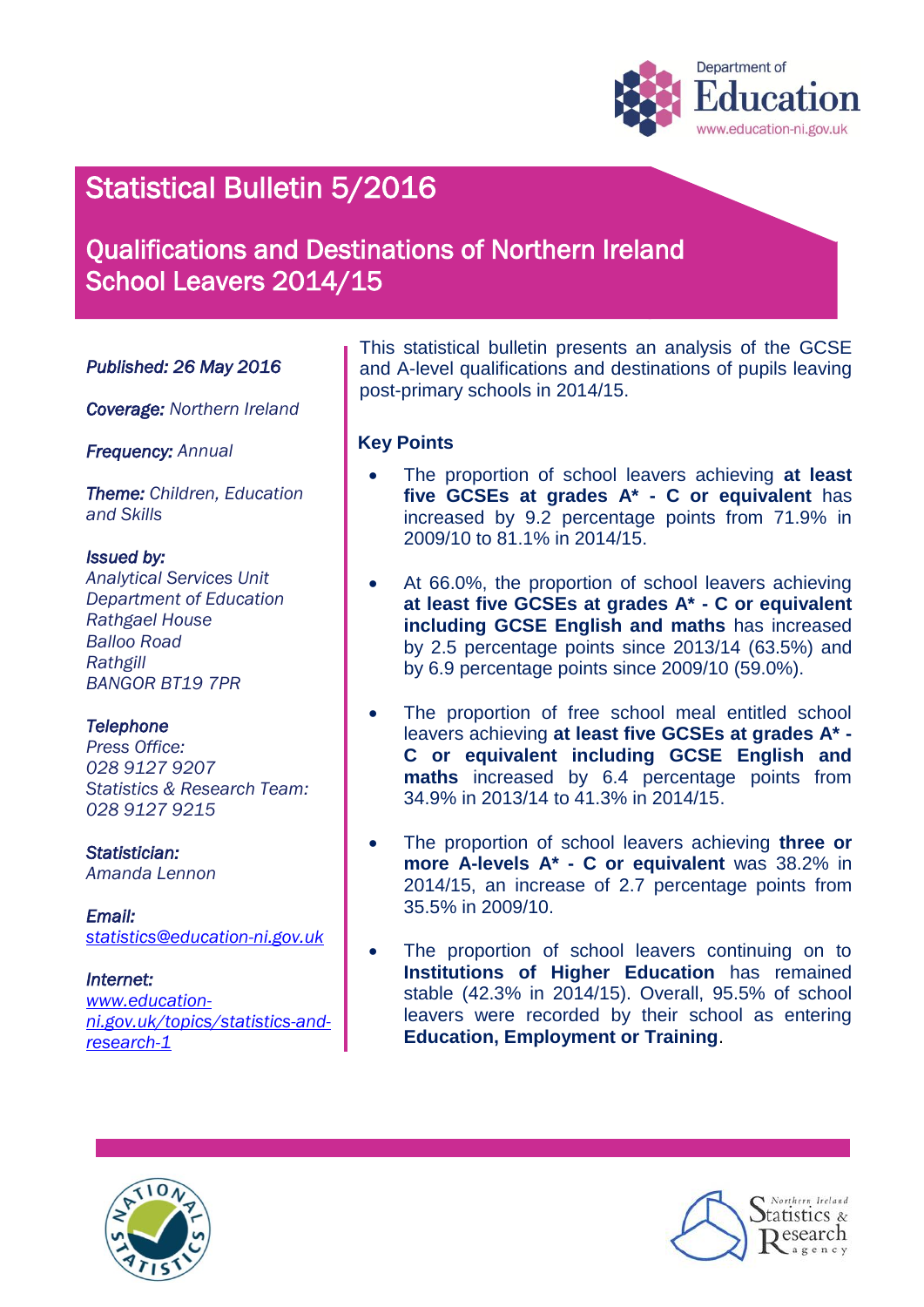

# Statistical Bulletin 5/2016

# Qualifications and Destinations of Northern Ireland School Leavers 2014/15

## *Published: 26 May 2016*

*Coverage: Northern Ireland* 

*Frequency: Annual*

*Theme: Children, Education and Skills*

#### *Issued by:*

*Analytical Services Unit Department of Education Rathgael House Balloo Road Rathgill BANGOR BT19 7PR*

#### *Telephone*

*Press Office: 028 9127 9207 Statistics & Research Team: 028 9127 9215*

*Statistician: Amanda Lennon*

*Email: [statistics@education-ni.gov.uk](mailto:statistics@education-ni.gov.uk)*

*Internet: [www.education](http://www.education-ni.gov.uk/topics/statistics-and-research-1)[ni.gov.uk/topics/statistics-and](http://www.education-ni.gov.uk/topics/statistics-and-research-1)[research-1](http://www.education-ni.gov.uk/topics/statistics-and-research-1)*

This statistical bulletin presents an analysis of the GCSE and A-level qualifications and destinations of pupils leaving post-primary schools in 2014/15.

### **Key Points**

- The proportion of school leavers achieving **at least five GCSEs at grades A\* - C or equivalent** has increased by 9.2 percentage points from 71.9% in 2009/10 to 81.1% in 2014/15.
- At 66.0%, the proportion of school leavers achieving **at least five GCSEs at grades A\* - C or equivalent including GCSE English and maths** has increased by 2.5 percentage points since 2013/14 (63.5%) and by 6.9 percentage points since 2009/10 (59.0%).
- The proportion of free school meal entitled school leavers achieving **at least five GCSEs at grades A\* - C or equivalent including GCSE English and maths** increased by 6.4 percentage points from 34.9% in 2013/14 to 41.3% in 2014/15.
- The proportion of school leavers achieving **three or more A-levels A\* - C or equivalent** was 38.2% in 2014/15, an increase of 2.7 percentage points from 35.5% in 2009/10.
- The proportion of school leavers continuing on to **Institutions of Higher Education** has remained stable (42.3% in 2014/15). Overall, 95.5% of school leavers were recorded by their school as entering **Education, Employment or Training**.



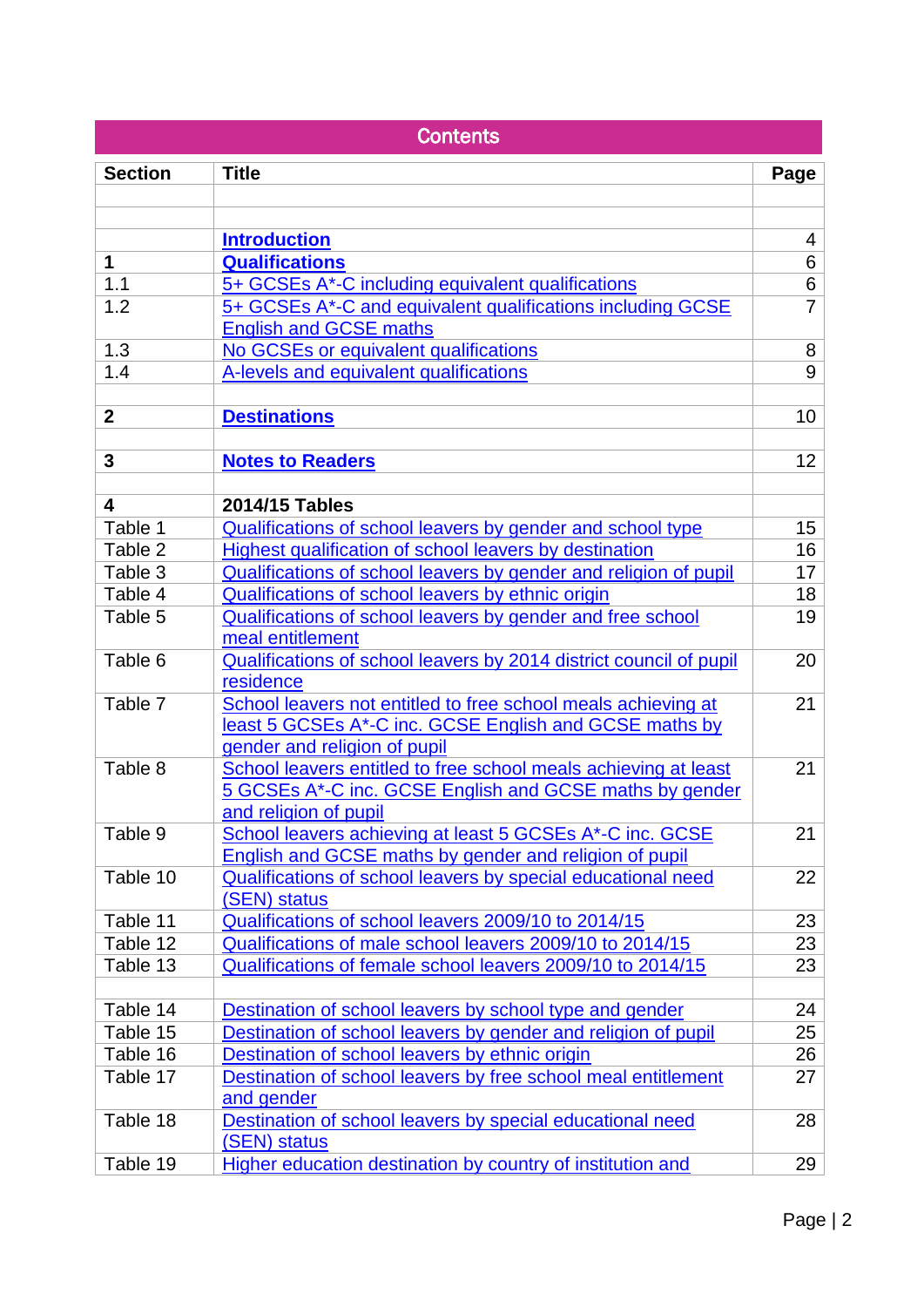| <b>Contents</b>         |                                                                                 |                     |  |  |  |  |
|-------------------------|---------------------------------------------------------------------------------|---------------------|--|--|--|--|
| <b>Section</b>          | <b>Title</b>                                                                    | Page                |  |  |  |  |
|                         |                                                                                 |                     |  |  |  |  |
|                         |                                                                                 |                     |  |  |  |  |
| $\mathbf 1$             | <b>Introduction</b><br><b>Qualifications</b>                                    | $\overline{4}$<br>6 |  |  |  |  |
| 1.1                     | 5+ GCSEs A*-C including equivalent qualifications                               | 6                   |  |  |  |  |
| 1.2                     | 5+ GCSEs A*-C and equivalent qualifications including GCSE                      | $\overline{7}$      |  |  |  |  |
|                         | <b>English and GCSE maths</b>                                                   |                     |  |  |  |  |
| 1.3                     | No GCSEs or equivalent qualifications                                           | 8                   |  |  |  |  |
| 1.4                     | A-levels and equivalent qualifications                                          | 9                   |  |  |  |  |
|                         |                                                                                 |                     |  |  |  |  |
| $\mathbf{2}$            | <b>Destinations</b>                                                             | 10                  |  |  |  |  |
| 3                       | <b>Notes to Readers</b>                                                         | 12                  |  |  |  |  |
|                         |                                                                                 |                     |  |  |  |  |
| $\overline{\mathbf{4}}$ | 2014/15 Tables                                                                  |                     |  |  |  |  |
| Table 1                 | Qualifications of school leavers by gender and school type                      | 15                  |  |  |  |  |
| Table 2                 | Highest qualification of school leavers by destination                          | 16                  |  |  |  |  |
| Table 3                 | Qualifications of school leavers by gender and religion of pupil                | 17                  |  |  |  |  |
| Table 4                 | Qualifications of school leavers by ethnic origin                               | 18                  |  |  |  |  |
| Table 5                 | Qualifications of school leavers by gender and free school                      | 19                  |  |  |  |  |
|                         | meal entitlement                                                                |                     |  |  |  |  |
| Table 6                 | Qualifications of school leavers by 2014 district council of pupil<br>residence | 20                  |  |  |  |  |
| Table 7                 | School leavers not entitled to free school meals achieving at                   | 21                  |  |  |  |  |
|                         | least 5 GCSEs A*-C inc. GCSE English and GCSE maths by                          |                     |  |  |  |  |
|                         | gender and religion of pupil                                                    |                     |  |  |  |  |
| Table 8                 | School leavers entitled to free school meals achieving at least                 | 21                  |  |  |  |  |
|                         | 5 GCSEs A*-C inc. GCSE English and GCSE maths by gender                         |                     |  |  |  |  |
|                         | and religion of pupil                                                           |                     |  |  |  |  |
| Table 9                 | School leavers achieving at least 5 GCSEs A*-C inc. GCSE                        | 21                  |  |  |  |  |
|                         | English and GCSE maths by gender and religion of pupil                          |                     |  |  |  |  |
| Table 10                | Qualifications of school leavers by special educational need<br>(SEN) status    | 22                  |  |  |  |  |
| Table 11                | Qualifications of school leavers 2009/10 to 2014/15                             | 23                  |  |  |  |  |
| Table 12                | Qualifications of male school leavers 2009/10 to 2014/15                        | 23                  |  |  |  |  |
| Table 13                | Qualifications of female school leavers 2009/10 to 2014/15                      | 23                  |  |  |  |  |
|                         |                                                                                 |                     |  |  |  |  |
| Table 14                | Destination of school leavers by school type and gender                         | 24                  |  |  |  |  |
| Table 15                | Destination of school leavers by gender and religion of pupil                   | 25                  |  |  |  |  |
| Table 16                | Destination of school leavers by ethnic origin                                  | 26                  |  |  |  |  |
| Table 17                | Destination of school leavers by free school meal entitlement                   | 27                  |  |  |  |  |
|                         | and gender                                                                      |                     |  |  |  |  |
| Table 18                | Destination of school leavers by special educational need                       | 28                  |  |  |  |  |
| Table 19                | (SEN) status                                                                    | 29                  |  |  |  |  |
|                         | Higher education destination by country of institution and                      |                     |  |  |  |  |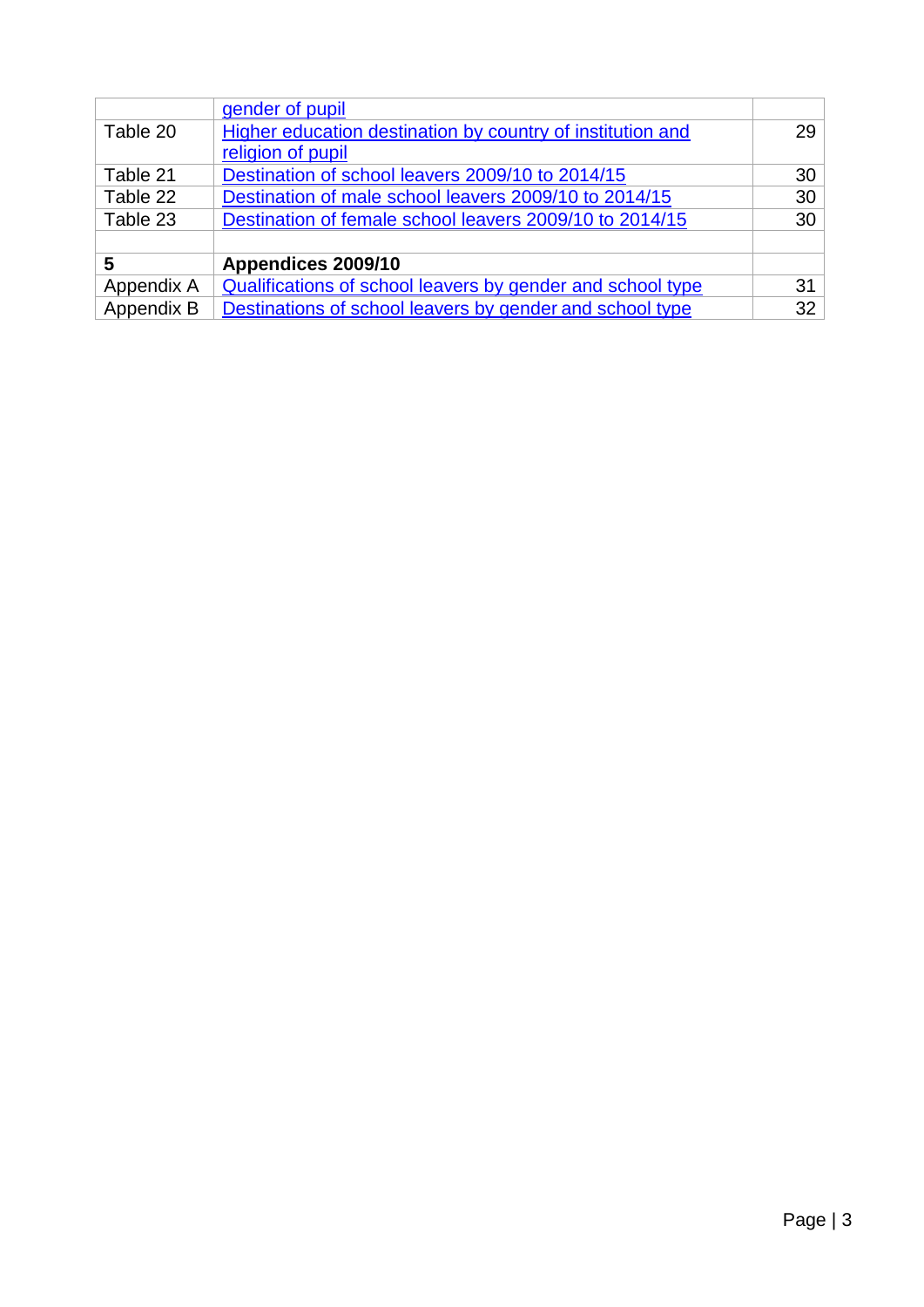| Appendix B | Destinations of school leavers by gender and school type   | 32 <sup>2</sup> |
|------------|------------------------------------------------------------|-----------------|
| Appendix A | Qualifications of school leavers by gender and school type | 31              |
| 5          | Appendices 2009/10                                         |                 |
|            |                                                            |                 |
| Table 23   | Destination of female school leavers 2009/10 to 2014/15    | 30 <sup>°</sup> |
| Table 22   | Destination of male school leavers 2009/10 to 2014/15      | 30 <sup>°</sup> |
| Table 21   | Destination of school leavers 2009/10 to 2014/15           | 30              |
|            | religion of pupil                                          |                 |
| Table 20   | Higher education destination by country of institution and | 29              |
|            | gender of pupil                                            |                 |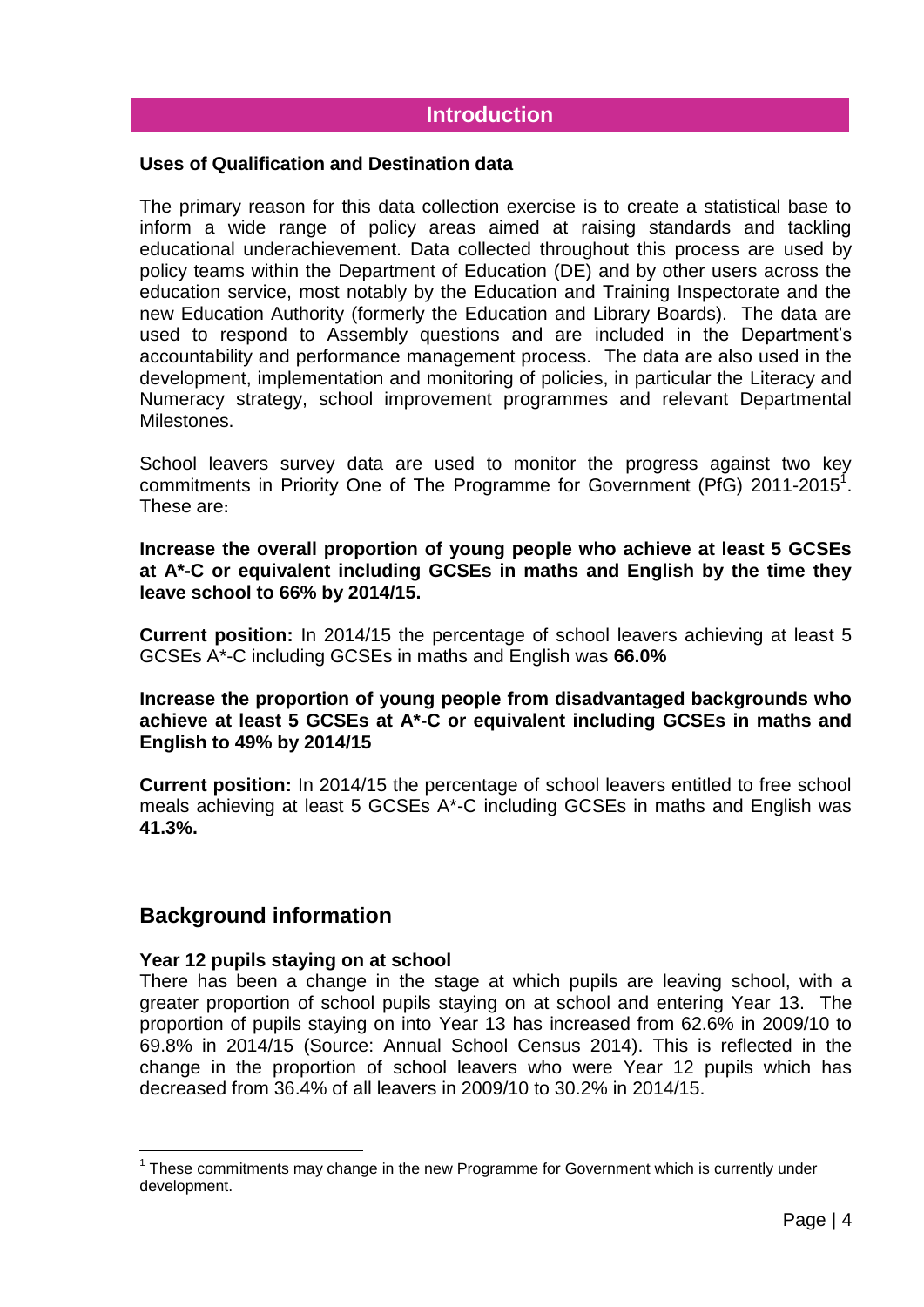# **Introduction**

## <span id="page-3-0"></span>**Uses of Qualification and Destination data**

The primary reason for this data collection exercise is to create a statistical base to inform a wide range of policy areas aimed at raising standards and tackling educational underachievement. Data collected throughout this process are used by policy teams within the Department of Education (DE) and by other users across the education service, most notably by the Education and Training Inspectorate and the new Education Authority (formerly the Education and Library Boards). The data are used to respond to Assembly questions and are included in the Department's accountability and performance management process. The data are also used in the development, implementation and monitoring of policies, in particular the Literacy and Numeracy strategy, school improvement programmes and relevant Departmental Milestones.

School leavers survey data are used to monitor the progress against two key commitments in Priority One of The Programme for Government (PfG) 2011-2015<sup>1</sup>. These are**:**

**Increase the overall proportion of young people who achieve at least 5 GCSEs at A\*-C or equivalent including GCSEs in maths and English by the time they leave school to 66% by 2014/15.**

**Current position:** In 2014/15 the percentage of school leavers achieving at least 5 GCSEs A\*-C including GCSEs in maths and English was **66.0%**

## **Increase the proportion of young people from disadvantaged backgrounds who achieve at least 5 GCSEs at A\*-C or equivalent including GCSEs in maths and English to 49% by 2014/15**

**Current position:** In 2014/15 the percentage of school leavers entitled to free school meals achieving at least 5 GCSEs A\*-C including GCSEs in maths and English was **41.3%.**

# **Background information**

<u>.</u>

#### **Year 12 pupils staying on at school**

There has been a change in the stage at which pupils are leaving school, with a greater proportion of school pupils staying on at school and entering Year 13. The proportion of pupils staying on into Year 13 has increased from 62.6% in 2009/10 to 69.8% in 2014/15 (Source: Annual School Census 2014). This is reflected in the change in the proportion of school leavers who were Year 12 pupils which has decreased from 36.4% of all leavers in 2009/10 to 30.2% in 2014/15.

 $1$  These commitments may change in the new Programme for Government which is currently under development.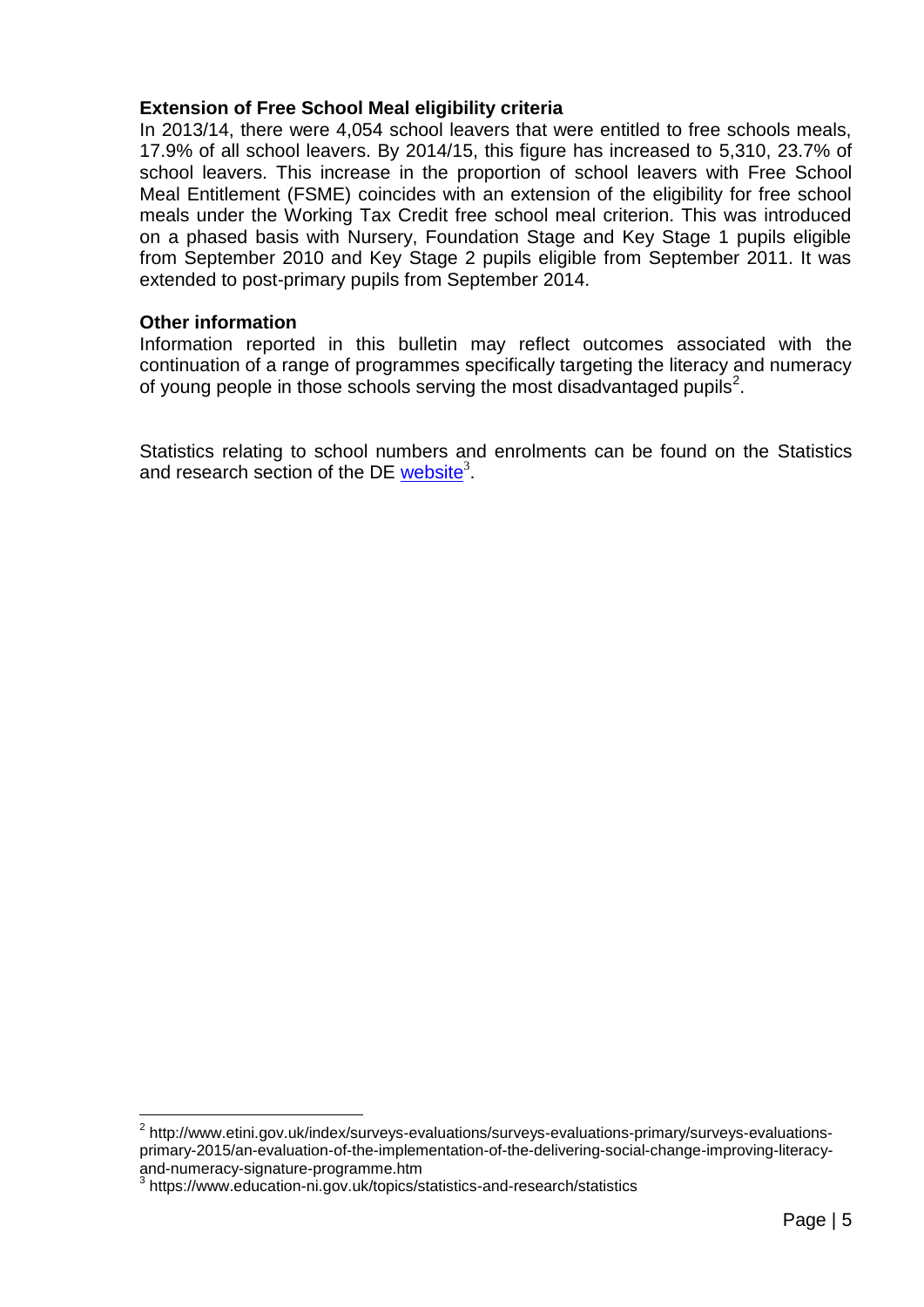## **Extension of Free School Meal eligibility criteria**

In 2013/14, there were 4,054 school leavers that were entitled to free schools meals, 17.9% of all school leavers. By 2014/15, this figure has increased to 5,310, 23.7% of school leavers. This increase in the proportion of school leavers with Free School Meal Entitlement (FSME) coincides with an extension of the eligibility for free school meals under the Working Tax Credit free school meal criterion. This was introduced on a phased basis with Nursery, Foundation Stage and Key Stage 1 pupils eligible from September 2010 and Key Stage 2 pupils eligible from September 2011. It was extended to post-primary pupils from September 2014.

## **Other information**

1

Information reported in this bulletin may reflect outcomes associated with the continuation of a range of programmes specifically targeting the literacy and numeracy of young people in those schools serving the most disadvantaged pupils<sup>2</sup>.

Statistics relating to school numbers and enrolments can be found on the Statistics and research section of the DE [website](http://www.education-ni.gov.uk/index/facts-and-figures-new/education-statistics/32_statistics_and_research-numbersofschoolsandpupils_pg.htm)<sup>3</sup>.

<sup>&</sup>lt;sup>2</sup> http://www.etini.gov.uk/index/surveys-evaluations/surveys-evaluations-primary/surveys-evaluationsprimary-2015/an-evaluation-of-the-implementation-of-the-delivering-social-change-improving-literacyand-numeracy-signature-programme.htm<br>3 https://www.education.pi.gov.uk/topics/

https://www.education-ni.gov.uk/topics/statistics-and-research/statistics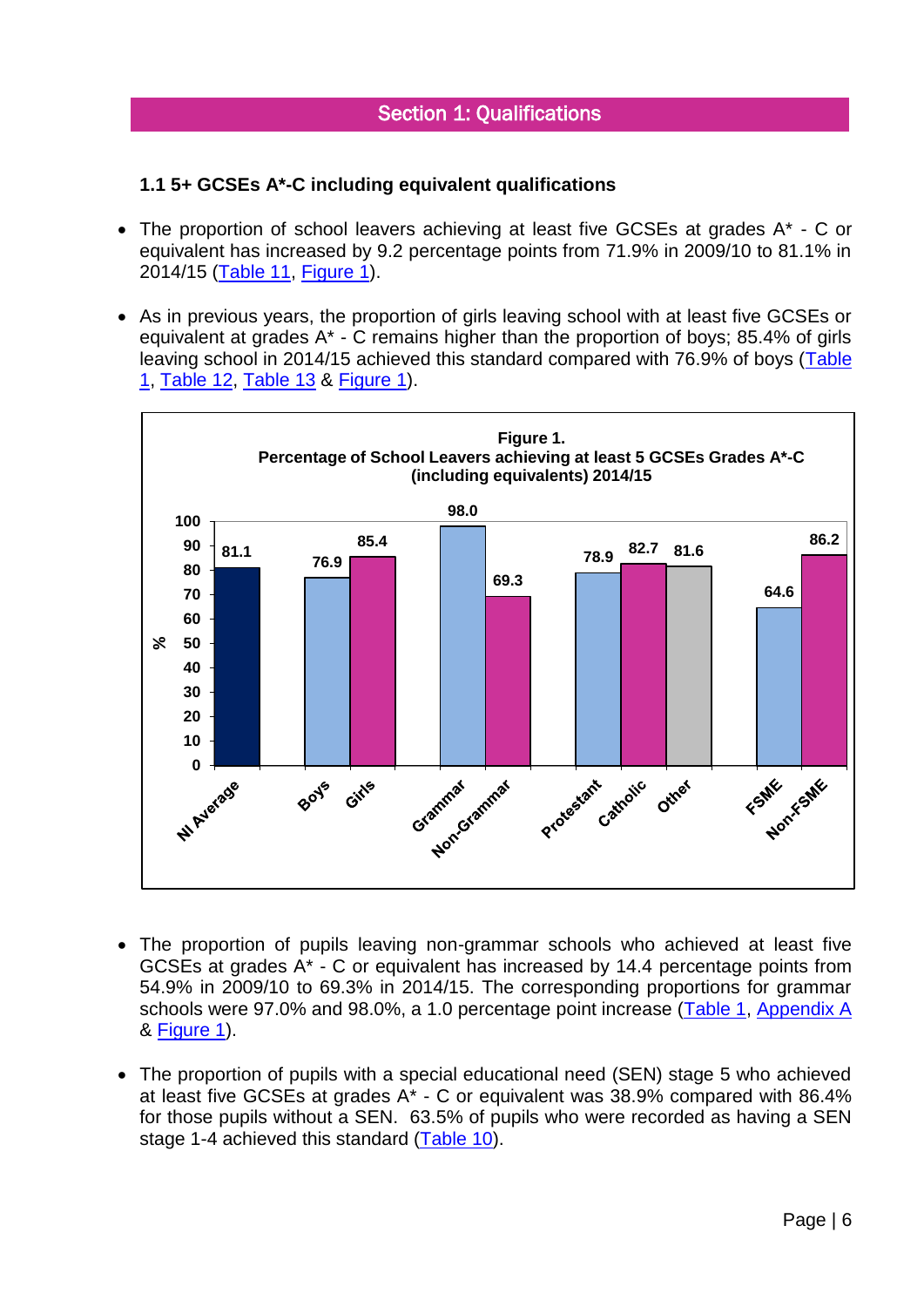# <span id="page-5-0"></span>**1.1 5+ GCSEs A\*-C including equivalent qualifications**

- The proportion of school leavers achieving at least five GCSEs at grades A<sup>\*</sup> C or equivalent has increased by 9.2 percentage points from 71.9% in 2009/10 to 81.1% in 2014/15 [\(Table 11,](#page-22-0) [Figure 1\)](#page-5-1).
- As in previous years, the proportion of girls leaving school with at least five GCSEs or equivalent at grades A\* - C remains higher than the proportion of boys; 85.4% of girls leaving school in 2014/15 achieved this standard compared with 76.9% of boys [\(Table](#page-13-0)  [1,](#page-13-0) [Table 12,](#page-22-1) [Table 13](#page-22-2) & [Figure 1\)](#page-5-1).

<span id="page-5-1"></span>

- The proportion of pupils leaving non-grammar schools who achieved at least five GCSEs at grades A\* - C or equivalent has increased by 14.4 percentage points from 54.9% in 2009/10 to 69.3% in 2014/15. The corresponding proportions for grammar schools were 97.0% and 98.0%, a 1.0 percentage point increase [\(Table 1,](#page-13-0) [Appendix A](#page-30-0) & [Figure 1\)](#page-5-1).
- The proportion of pupils with a special educational need (SEN) stage 5 who achieved at least five GCSEs at grades A\* - C or equivalent was 38.9% compared with 86.4% for those pupils without a SEN. 63.5% of pupils who were recorded as having a SEN stage 1-4 achieved this standard [\(Table 10\)](#page-21-0).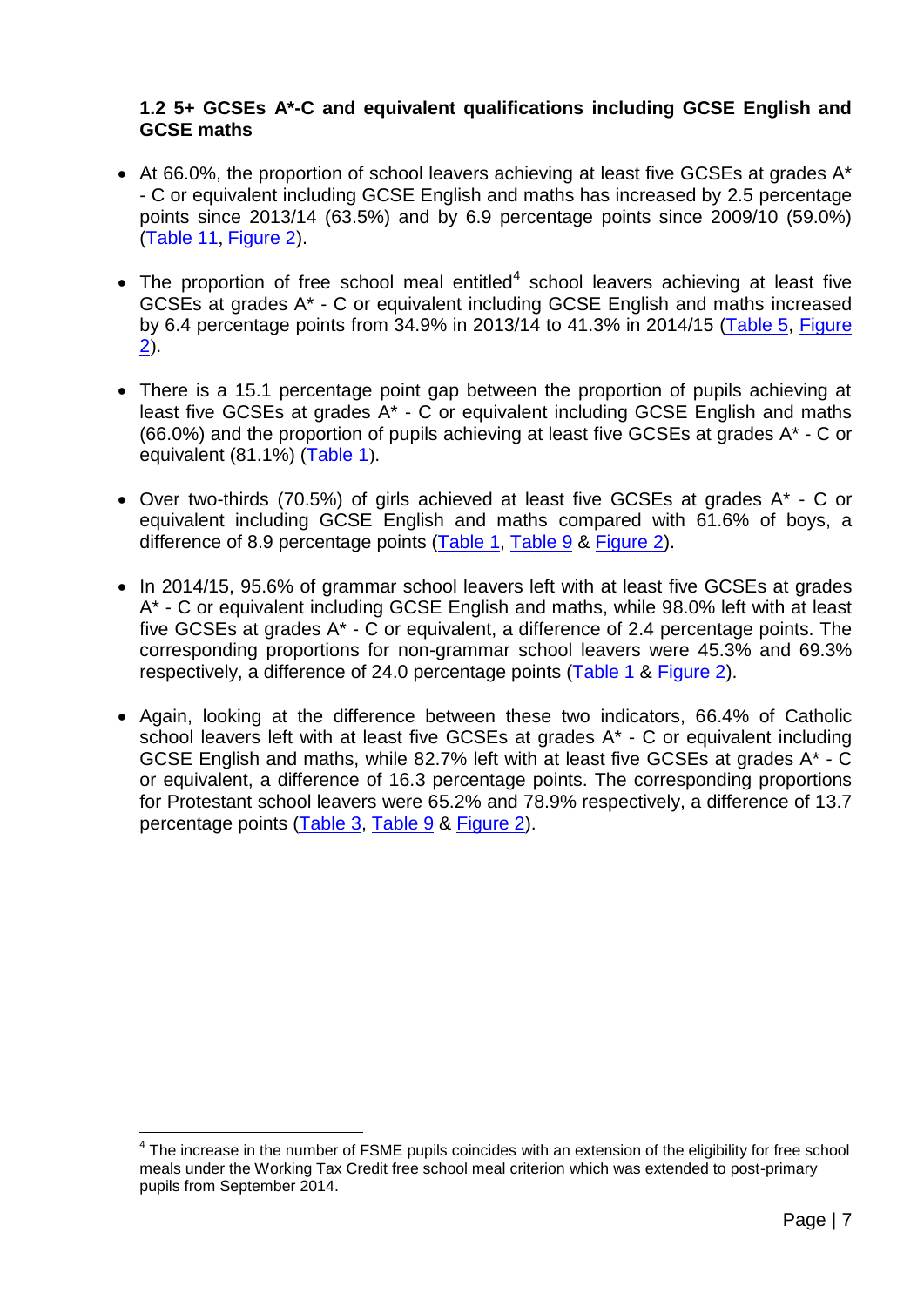## <span id="page-6-0"></span>**1.2 5+ GCSEs A\*-C and equivalent qualifications including GCSE English and GCSE maths**

- At 66.0%, the proportion of school leavers achieving at least five GCSEs at grades A\* - C or equivalent including GCSE English and maths has increased by 2.5 percentage points since 2013/14 (63.5%) and by 6.9 percentage points since 2009/10 (59.0%) [\(Table 11](#page-22-0), [Figure 2\)](#page-7-1).
- $\bullet$  The proportion of free school meal entitled<sup>4</sup> school leavers achieving at least five GCSEs at grades A\* - C or equivalent including GCSE English and maths increased by 6.4 percentage points from 34.9% in 2013/14 to 41.3% in 2014/15 [\(Table 5,](#page-18-0) [Figure](#page-7-1)   $(2)$  $(2)$  $(2)$ .
- There is a 15.1 percentage point gap between the proportion of pupils achieving at least five GCSEs at grades A\* - C or equivalent including GCSE English and maths (66.0%) and the proportion of pupils achieving at least five GCSEs at grades A\* - C or equivalent (81.1%) [\(Table 1](#page-13-0)).
- Over two-thirds (70.5%) of girls achieved at least five GCSEs at grades A\* C or equivalent including GCSE English and maths compared with 61.6% of boys, a difference of 8.9 percentage points [\(Table 1,](#page-13-0) [Table 9](#page-20-2) & [Figure 2\)](#page-7-1).
- In 2014/15, 95.6% of grammar school leavers left with at least five GCSEs at grades A\* - C or equivalent including GCSE English and maths, while 98.0% left with at least five GCSEs at grades A\* - C or equivalent, a difference of 2.4 percentage points. The corresponding proportions for non-grammar school leavers were 45.3% and 69.3% respectively, a difference of 24.0 percentage points [\(Table 1](#page-13-0) & [Figure 2\)](#page-7-1).
- Again, looking at the difference between these two indicators, 66.4% of Catholic school leavers left with at least five GCSEs at grades A\* - C or equivalent including GCSE English and maths, while 82.7% left with at least five GCSEs at grades A\* - C or equivalent, a difference of 16.3 percentage points. The corresponding proportions for Protestant school leavers were 65.2% and 78.9% respectively, a difference of 13.7 percentage points [\(Table 3,](#page-16-0) [Table 9](#page-20-2) & [Figure 2\)](#page-7-1).

<sup>&</sup>lt;u>.</u>  $4$  The increase in the number of FSME pupils coincides with an extension of the eligibility for free school meals under the Working Tax Credit free school meal criterion which was extended to post-primary pupils from September 2014.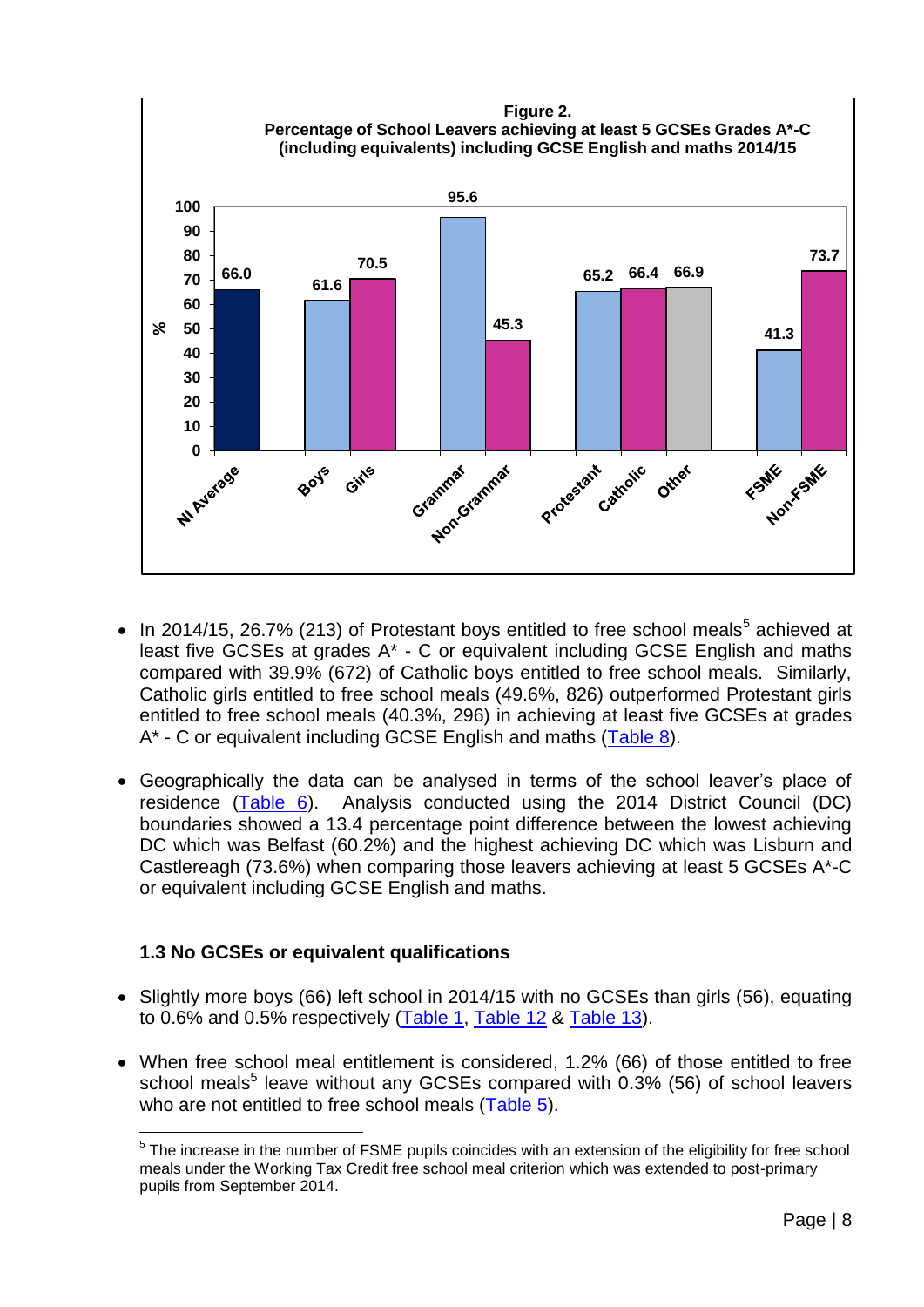<span id="page-7-1"></span>

- $\bullet$  In 2014/15, 26.7% (213) of Protestant boys entitled to free school meals<sup>5</sup> achieved at least five GCSEs at grades A\* - C or equivalent including GCSE English and maths compared with 39.9% (672) of Catholic boys entitled to free school meals. Similarly, Catholic girls entitled to free school meals (49.6%, 826) outperformed Protestant girls entitled to free school meals (40.3%, 296) in achieving at least five GCSEs at grades A\* - C or equivalent including GCSE English and maths [\(Table 8\)](#page-20-1).
- Geographically the data can be analysed in terms of the school leaver's place of residence [\(Table 6\)](#page-19-0). Analysis conducted using the 2014 District Council (DC) boundaries showed a 13.4 percentage point difference between the lowest achieving DC which was Belfast (60.2%) and the highest achieving DC which was Lisburn and Castlereagh (73.6%) when comparing those leavers achieving at least 5 GCSEs A\*-C or equivalent including GCSE English and maths.

# <span id="page-7-0"></span>**1.3 No GCSEs or equivalent qualifications**

- Slightly more boys (66) left school in 2014/15 with no GCSEs than girls (56), equating to 0.6% and 0.5% respectively [\(Table 1,](#page-13-0) [Table 12](#page-22-1) & [Table 13\)](#page-22-2).
- When free school meal entitlement is considered, 1.2% (66) of those entitled to free school meals<sup>5</sup> leave without any GCSEs compared with  $0.3\%$  (56) of school leavers who are not entitled to free school meals [\(Table 5\)](#page-18-0).

<sup>&</sup>lt;u>.</u> <sup>5</sup> The increase in the number of FSME pupils coincides with an extension of the eligibility for free school meals under the Working Tax Credit free school meal criterion which was extended to post-primary pupils from September 2014.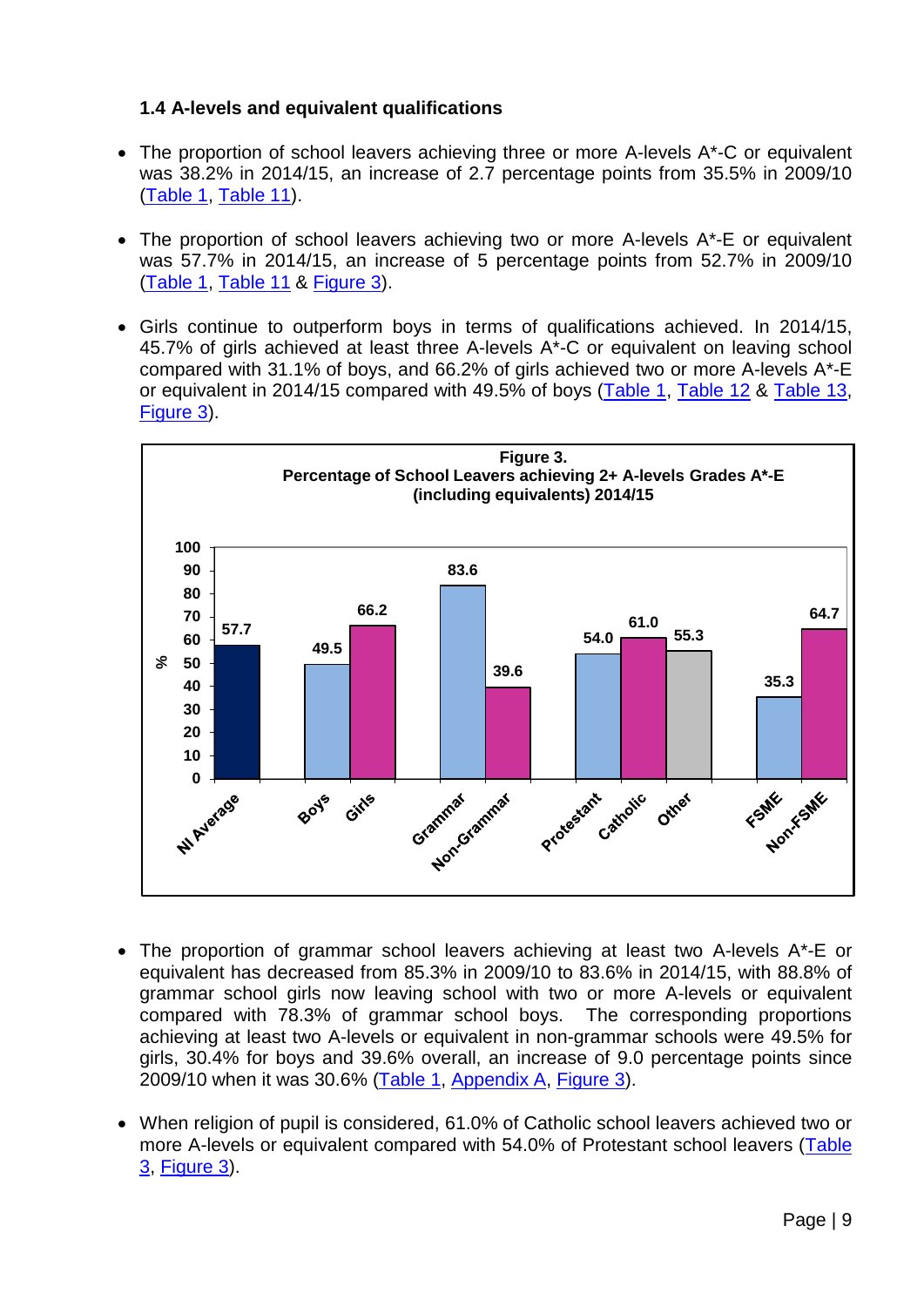# <span id="page-8-0"></span>**1.4 A-levels and equivalent qualifications**

- The proportion of school leavers achieving three or more A-levels A\*-C or equivalent was 38.2% in 2014/15, an increase of 2.7 percentage points from 35.5% in 2009/10 [\(Table 1,](#page-13-0) [Table 11\)](#page-22-0).
- The proportion of school leavers achieving two or more A-levels A\*-E or equivalent was 57.7% in 2014/15, an increase of 5 percentage points from 52.7% in 2009/10 [\(Table 1,](#page-13-0) [Table 11](#page-22-0) & [Figure 3\)](#page-8-1).
- Girls continue to outperform boys in terms of qualifications achieved. In 2014/15, 45.7% of girls achieved at least three A-levels A\*-C or equivalent on leaving school compared with 31.1% of boys, and 66.2% of girls achieved two or more A-levels A\*-E or equivalent in 2014/15 compared with 49.5% of boys [\(Table 1,](#page-13-0) [Table 12](#page-22-1) & [Table 13,](#page-22-2) [Figure 3\)](#page-8-1).

<span id="page-8-1"></span>

- The proportion of grammar school leavers achieving at least two A-levels A\*-E or equivalent has decreased from 85.3% in 2009/10 to 83.6% in 2014/15, with 88.8% of grammar school girls now leaving school with two or more A-levels or equivalent compared with 78.3% of grammar school boys. The corresponding proportions achieving at least two A-levels or equivalent in non-grammar schools were 49.5% for girls, 30.4% for boys and 39.6% overall, an increase of 9.0 percentage points since 2009/10 when it was 30.6% [\(Table 1,](#page-13-0) [Appendix A,](#page-30-0) [Figure 3\)](#page-8-1).
- When religion of pupil is considered, 61.0% of Catholic school leavers achieved two or more A-levels or equivalent compared with 54.0% of Protestant school leavers [\(Table](#page-16-0)  [3,](#page-16-0) [Figure 3\)](#page-8-1).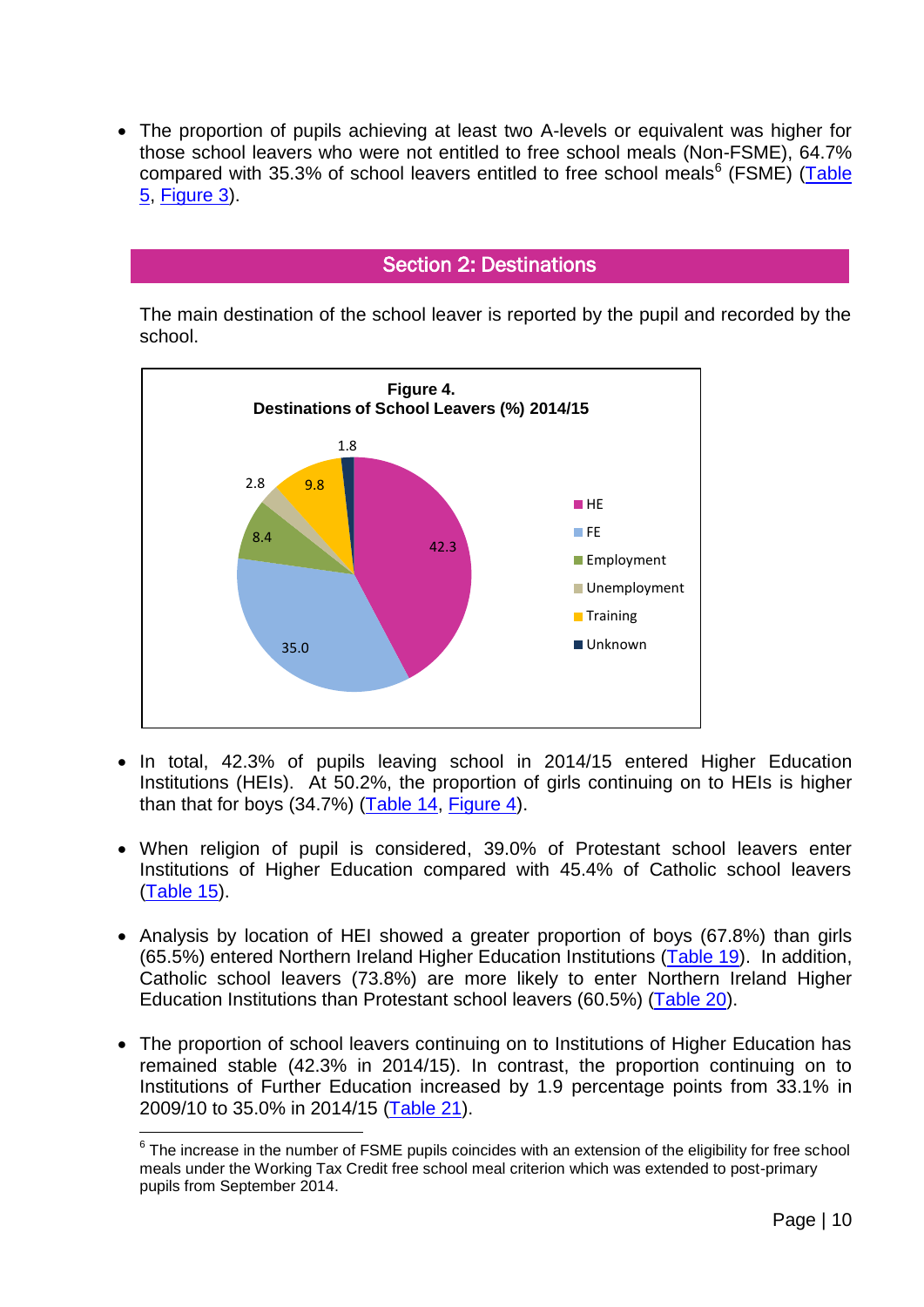The proportion of pupils achieving at least two A-levels or equivalent was higher for those school leavers who were not entitled to free school meals (Non-FSME), 64.7% compared with 35.3% of school leavers entitled to free school meals<sup>6</sup> (FSME) (Table [5,](#page-18-0) [Figure 3\)](#page-8-1).

# Section 2: Destinations

<span id="page-9-0"></span>The main destination of the school leaver is reported by the pupil and recorded by the school.

<span id="page-9-1"></span>

- In total, 42.3% of pupils leaving school in 2014/15 entered Higher Education Institutions (HEIs). At 50.2%, the proportion of girls continuing on to HEIs is higher than that for boys (34.7%) [\(Table 14,](#page-23-0) [Figure 4\)](#page-9-1).
- When religion of pupil is considered, 39.0% of Protestant school leavers enter Institutions of Higher Education compared with 45.4% of Catholic school leavers [\(Table 15\)](#page-24-0).
- Analysis by location of HEI showed a greater proportion of boys (67.8%) than girls (65.5%) entered Northern Ireland Higher Education Institutions [\(Table 19\)](#page-28-0). In addition, Catholic school leavers (73.8%) are more likely to enter Northern Ireland Higher Education Institutions than Protestant school leavers (60.5%) [\(Table 20\)](#page-28-1).
- The proportion of school leavers continuing on to Institutions of Higher Education has remained stable (42.3% in 2014/15). In contrast, the proportion continuing on to Institutions of Further Education increased by 1.9 percentage points from 33.1% in 2009/10 to 35.0% in 2014/15 [\(Table 21\)](#page-29-0).

<u>.</u>

 $6$  The increase in the number of FSME pupils coincides with an extension of the eligibility for free school meals under the Working Tax Credit free school meal criterion which was extended to post-primary pupils from September 2014.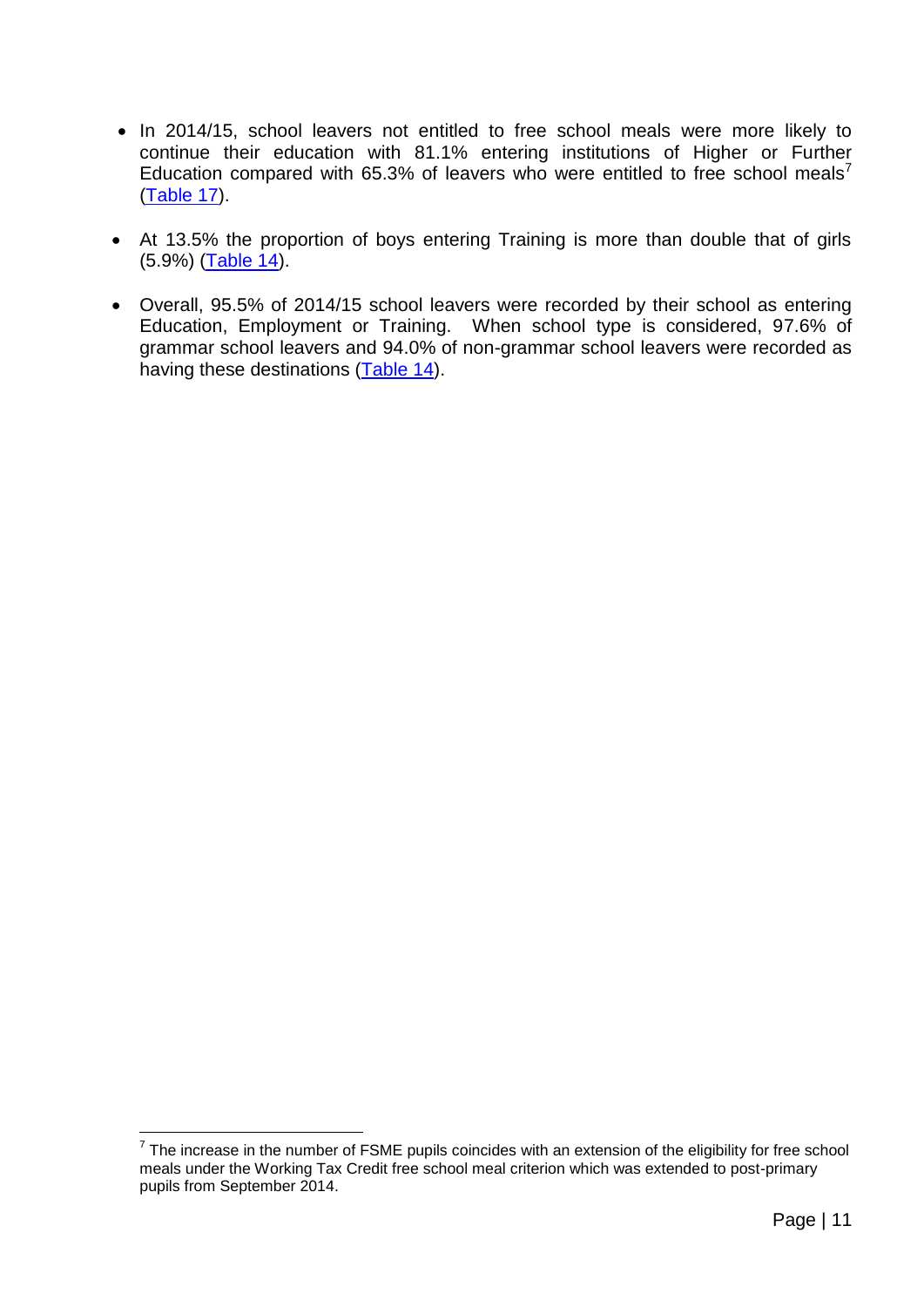- In 2014/15, school leavers not entitled to free school meals were more likely to continue their education with 81.1% entering institutions of Higher or Further Education compared with 65.3% of leavers who were entitled to free school meals<sup>7</sup> [\(Table](#page-26-0) 17).
- At 13.5% the proportion of boys entering Training is more than double that of girls (5.9%) [\(Table 14\)](#page-23-0).
- Overall, 95.5% of 2014/15 school leavers were recorded by their school as entering Education, Employment or Training. When school type is considered, 97.6% of grammar school leavers and 94.0% of non-grammar school leavers were recorded as having these destinations [\(Table 14\)](#page-23-0).

<u>.</u>

 $7$  The increase in the number of FSME pupils coincides with an extension of the eligibility for free school meals under the Working Tax Credit free school meal criterion which was extended to post-primary pupils from September 2014.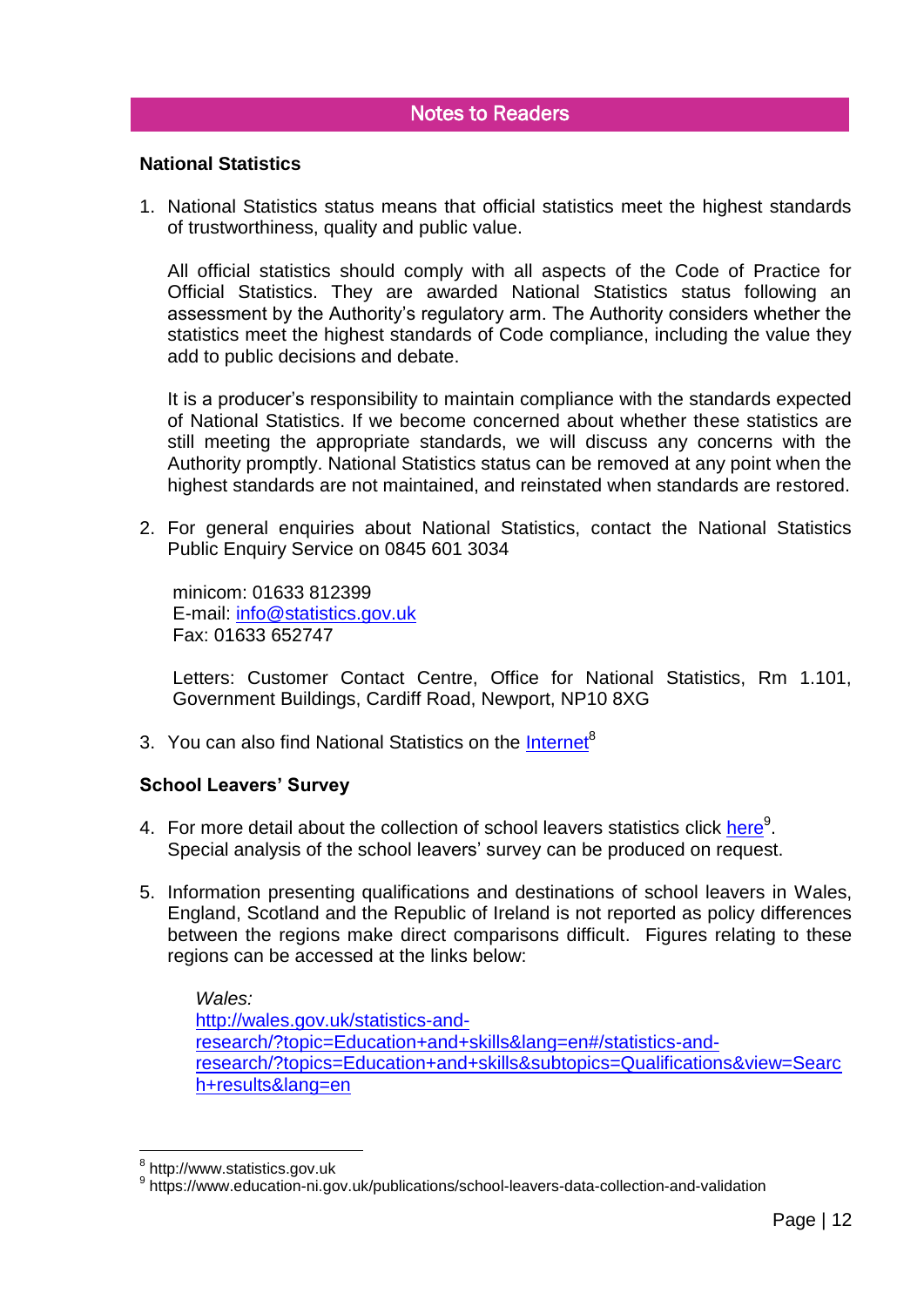# Notes to Readers

#### <span id="page-11-0"></span>**National Statistics**

1. National Statistics status means that official statistics meet the highest standards of trustworthiness, quality and public value.

All official statistics should comply with all aspects of the Code of Practice for Official Statistics. They are awarded National Statistics status following an assessment by the Authority's regulatory arm. The Authority considers whether the statistics meet the highest standards of Code compliance, including the value they add to public decisions and debate.

It is a producer's responsibility to maintain compliance with the standards expected of National Statistics. If we become concerned about whether these statistics are still meeting the appropriate standards, we will discuss any concerns with the Authority promptly. National Statistics status can be removed at any point when the highest standards are not maintained, and reinstated when standards are restored.

2. For general enquiries about National Statistics, contact the National Statistics Public Enquiry Service on 0845 601 3034

minicom: 01633 812399 E-mail: [info@statistics.gov.uk](mailto:info@statistics.gov.uk) Fax: 01633 652747

Letters: Customer Contact Centre, Office for National Statistics, Rm 1.101, Government Buildings, Cardiff Road, Newport, NP10 8XG

3. You can also find National Statistics on the [Internet](http://www.statistics.gov.uk/)<sup>8</sup>

#### **School Leavers' Survey**

- 4. For more detail about the collection of school leavers statistics click [here](https://www.education-ni.gov.uk/publications/school-leavers-data-collection-and-validation)<sup>9</sup>. Special analysis of the school leavers' survey can be produced on request.
- 5. Information presenting qualifications and destinations of school leavers in Wales, England, Scotland and the Republic of Ireland is not reported as policy differences between the regions make direct comparisons difficult. Figures relating to these regions can be accessed at the links below:

*Wales:* [http://wales.gov.uk/statistics-and](http://wales.gov.uk/statistics-and-research/?topic=Education+and+skills&lang=en#/statistics-and-research/?topics=Education+and+skills&subtopics=Qualifications&view=Search+results&lang=en)[research/?topic=Education+and+skills&lang=en#/statistics-and](http://wales.gov.uk/statistics-and-research/?topic=Education+and+skills&lang=en#/statistics-and-research/?topics=Education+and+skills&subtopics=Qualifications&view=Search+results&lang=en)[research/?topics=Education+and+skills&subtopics=Qualifications&view=Searc](http://wales.gov.uk/statistics-and-research/?topic=Education+and+skills&lang=en#/statistics-and-research/?topics=Education+and+skills&subtopics=Qualifications&view=Search+results&lang=en) [h+results&lang=en](http://wales.gov.uk/statistics-and-research/?topic=Education+and+skills&lang=en#/statistics-and-research/?topics=Education+and+skills&subtopics=Qualifications&view=Search+results&lang=en)

<u>.</u>

<sup>&</sup>lt;sup>8</sup> http://www.statistics.gov.uk

<sup>&</sup>lt;sup>9</sup> https://www.education-ni.gov.uk/publications/school-leavers-data-collection-and-validation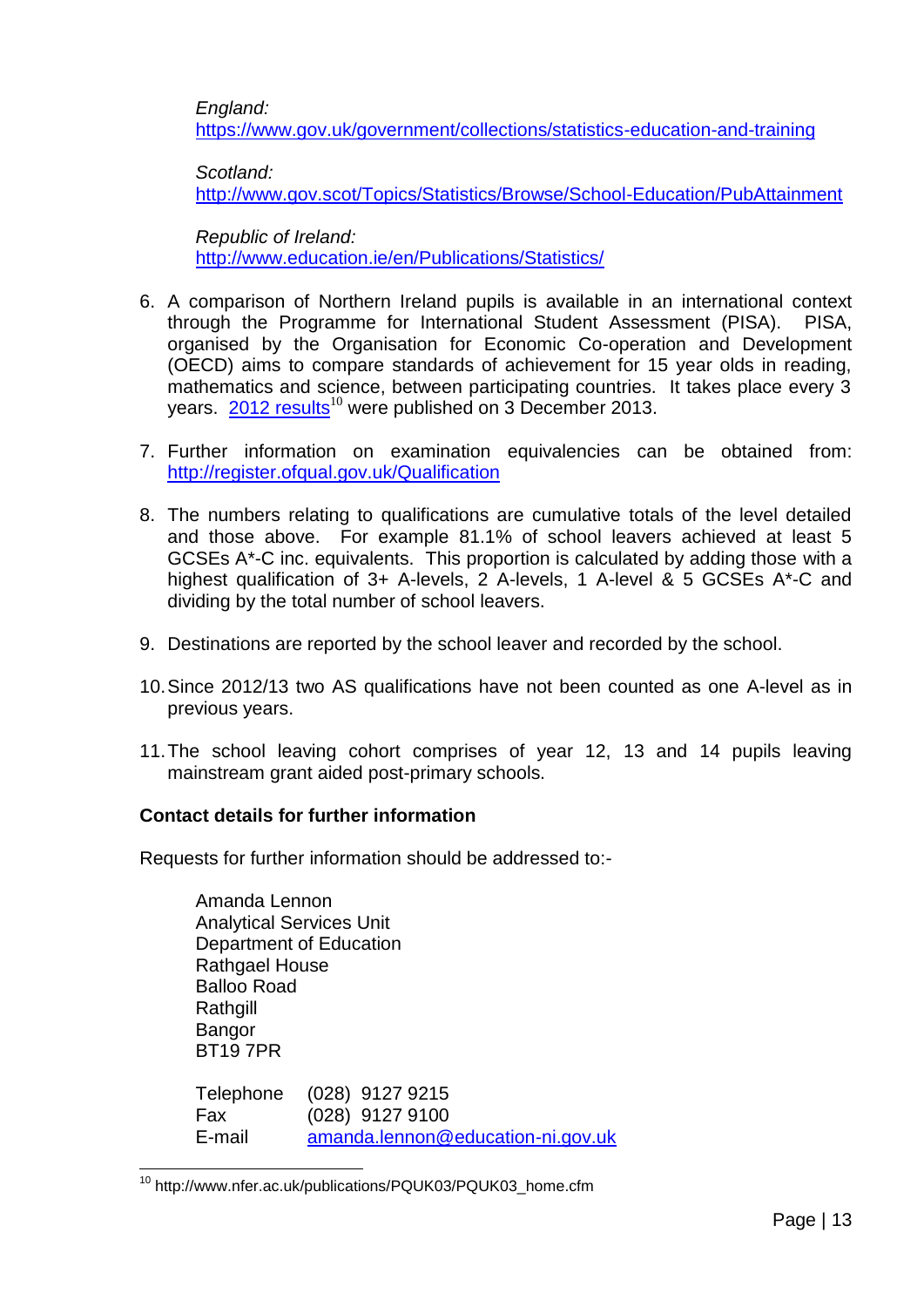*England:*

<https://www.gov.uk/government/collections/statistics-education-and-training>

*Scotland:*

<http://www.gov.scot/Topics/Statistics/Browse/School-Education/PubAttainment>

*Republic of Ireland:* <http://www.education.ie/en/Publications/Statistics/>

- 6. A comparison of Northern Ireland pupils is available in an international context through the Programme for International Student Assessment (PISA). PISA, organised by the Organisation for Economic Co-operation and Development (OECD) aims to compare standards of achievement for 15 year olds in reading, mathematics and science, between participating countries. It takes place every 3 years. [2012 results](http://www.nfer.ac.uk/publications/PQUK03/PQUK03_home.cfm)<sup>10</sup> were published on 3 December 2013.
- 7. Further information on examination equivalencies can be obtained from: <http://register.ofqual.gov.uk/Qualification>
- 8. The numbers relating to qualifications are cumulative totals of the level detailed and those above. For example 81.1% of school leavers achieved at least 5 GCSEs A\*-C inc. equivalents. This proportion is calculated by adding those with a highest qualification of 3+ A-levels, 2 A-levels, 1 A-level & 5 GCSEs A\*-C and dividing by the total number of school leavers.
- 9. Destinations are reported by the school leaver and recorded by the school.
- 10.Since 2012/13 two AS qualifications have not been counted as one A-level as in previous years.
- 11.The school leaving cohort comprises of year 12, 13 and 14 pupils leaving mainstream grant aided post-primary schools.

## **Contact details for further information**

Requests for further information should be addressed to:-

| Amanda Lennon<br><b>Analytical Services Unit</b><br>Department of Education<br><b>Rathgael House</b><br><b>Balloo Road</b><br>Rathgill<br>Bangor<br><b>BT197PR</b> |                                      |
|--------------------------------------------------------------------------------------------------------------------------------------------------------------------|--------------------------------------|
| Telephone<br>Fax                                                                                                                                                   | $(028)$ 9127 9215<br>(028) 9127 9100 |
| F-mail                                                                                                                                                             | amanda.lennon@education-ni.gov.uk    |

<sup>1</sup> <sup>10</sup> http://www.nfer.ac.uk/publications/PQUK03/PQUK03\_home.cfm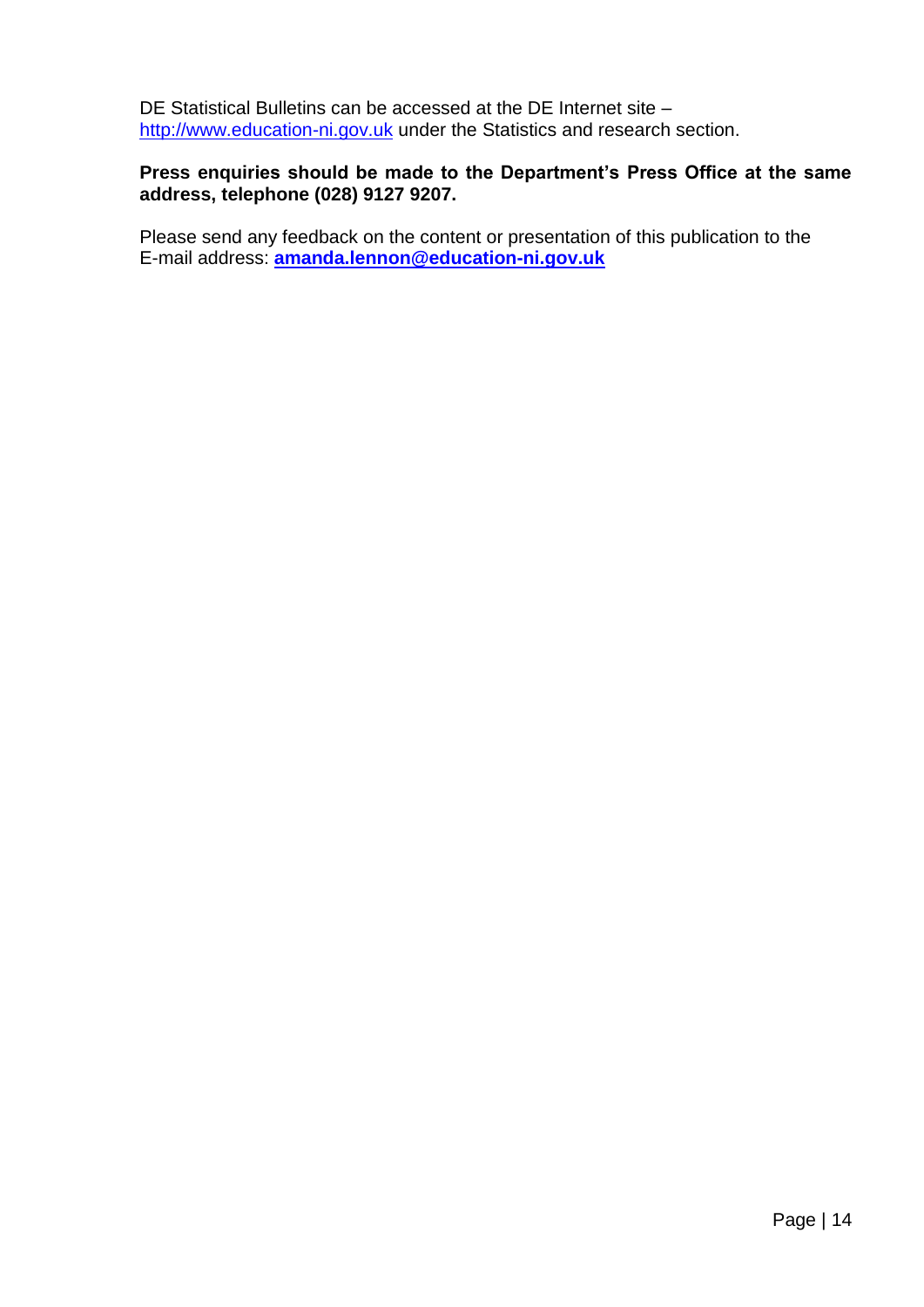DE Statistical Bulletins can be accessed at the DE Internet site – [http://www.education-ni.gov.uk](http://www.education-ni.gov.uk/) under the Statistics and research section.

## **Press enquiries should be made to the Department's Press Office at the same address, telephone (028) 9127 9207.**

<span id="page-13-0"></span>Please send any feedback on the content or presentation of this publication to the E-mail address: **[amanda.lennon@education-ni.gov.uk](mailto:amanda.lennon@education-ni.gov.uk)**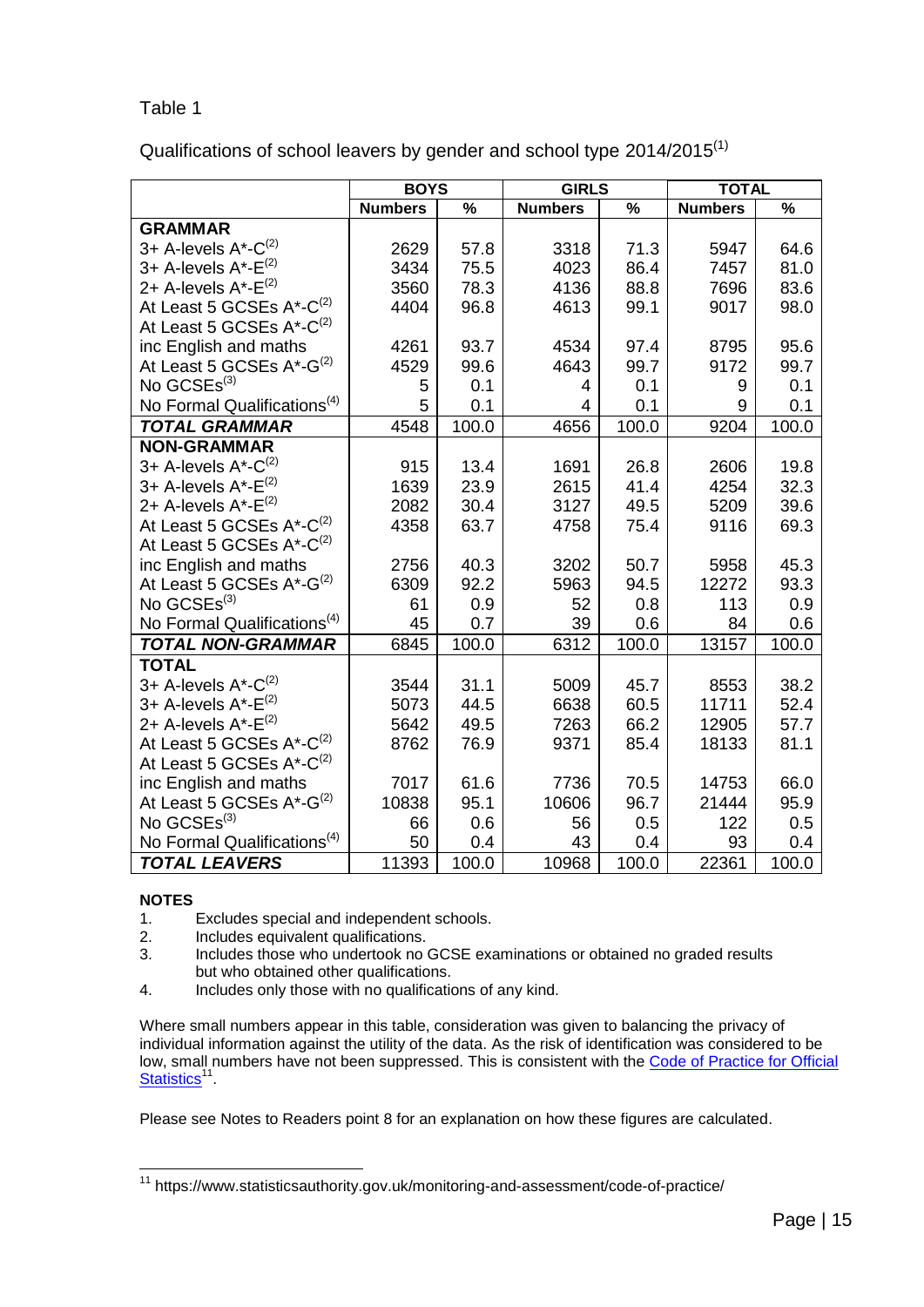Qualifications of school leavers by gender and school type 2014/2015<sup>(1)</sup>

|                                         | <b>BOYS</b>    |               | <b>GIRLS</b>   |       | <b>TOTAL</b>   |                          |
|-----------------------------------------|----------------|---------------|----------------|-------|----------------|--------------------------|
|                                         | <b>Numbers</b> | $\frac{1}{2}$ | <b>Numbers</b> | %     | <b>Numbers</b> | $\overline{\frac{9}{6}}$ |
| <b>GRAMMAR</b>                          |                |               |                |       |                |                          |
| 3+ A-levels A*-C <sup>(2)</sup>         | 2629           | 57.8          | 3318           | 71.3  | 5947           | 64.6                     |
| 3+ A-levels $A^* - E^{(2)}$             | 3434           | 75.5          | 4023           | 86.4  | 7457           | 81.0                     |
| 2+ A-levels $A^*$ - $E^{(2)}$           | 3560           | 78.3          | 4136           | 88.8  | 7696           | 83.6                     |
| At Least 5 GCSEs A*-C <sup>(2)</sup>    | 4404           | 96.8          | 4613           | 99.1  | 9017           | 98.0                     |
| At Least 5 GCSEs A*-C <sup>(2)</sup>    |                |               |                |       |                |                          |
| inc English and maths                   | 4261           | 93.7          | 4534           | 97.4  | 8795           | 95.6                     |
| At Least 5 GCSEs A*-G <sup>(2)</sup>    | 4529           | 99.6          | 4643           | 99.7  | 9172           | 99.7                     |
| No GCSEs <sup>(3)</sup>                 | 5              | 0.1           | 4              | 0.1   | 9              | 0.1                      |
| No Formal Qualifications <sup>(4)</sup> | 5              | 0.1           | 4              | 0.1   | 9              | 0.1                      |
| <b>TOTAL GRAMMAR</b>                    | 4548           | 100.0         | 4656           | 100.0 | 9204           | 100.0                    |
| <b>NON-GRAMMAR</b>                      |                |               |                |       |                |                          |
| 3+ A-levels A*-C <sup>(2)</sup>         | 915            | 13.4          | 1691           | 26.8  | 2606           | 19.8                     |
| 3+ A-levels $A^*$ - $E^{(2)}$           | 1639           | 23.9          | 2615           | 41.4  | 4254           | 32.3                     |
| 2+ A-levels A*-E <sup>(2)</sup>         | 2082           | 30.4          | 3127           | 49.5  | 5209           | 39.6                     |
| At Least 5 GCSEs A*-C <sup>(2)</sup>    | 4358           | 63.7          | 4758           | 75.4  | 9116           | 69.3                     |
| At Least 5 GCSEs A*-C <sup>(2)</sup>    |                |               |                |       |                |                          |
| inc English and maths                   | 2756           | 40.3          | 3202           | 50.7  | 5958           | 45.3                     |
| At Least 5 GCSEs A*-G <sup>(2)</sup>    | 6309           | 92.2          | 5963           | 94.5  | 12272          | 93.3                     |
| No GCSEs <sup>(3)</sup>                 | 61             | 0.9           | 52             | 0.8   | 113            | 0.9                      |
| No Formal Qualifications <sup>(4)</sup> | 45             | 0.7           | 39             | 0.6   | 84             | 0.6                      |
| <b>TOTAL NON-GRAMMAR</b>                | 6845           | 100.0         | 6312           | 100.0 | 13157          | 100.0                    |
| <b>TOTAL</b>                            |                |               |                |       |                |                          |
| 3+ A-levels $A^*$ - $C^{(2)}$           | 3544           | 31.1          | 5009           | 45.7  | 8553           | 38.2                     |
| 3+ A-levels A*-E <sup>(2)</sup>         | 5073           | 44.5          | 6638           | 60.5  | 11711          | 52.4                     |
| 2+ A-levels $A^*$ - $E^{(2)}$           | 5642           | 49.5          | 7263           | 66.2  | 12905          | 57.7                     |
| At Least 5 GCSEs A*-C <sup>(2)</sup>    | 8762           | 76.9          | 9371           | 85.4  | 18133          | 81.1                     |
| At Least 5 GCSEs A*-C <sup>(2)</sup>    |                |               |                |       |                |                          |
| inc English and maths                   | 7017           | 61.6          | 7736           | 70.5  | 14753          | 66.0                     |
| At Least 5 GCSEs A*-G <sup>(2)</sup>    | 10838          | 95.1          | 10606          | 96.7  | 21444          | 95.9                     |
| No GCSEs <sup>(3)</sup>                 | 66             | 0.6           | 56             | 0.5   | 122            | 0.5                      |
| No Formal Qualifications <sup>(4)</sup> | 50             | 0.4           | 43             | 0.4   | 93             | 0.4                      |
| <b>TOTAL LEAVERS</b>                    | 11393          | 100.0         | 10968          | 100.0 | 22361          | 100.0                    |

#### **NOTES**

1

- 1. Excludes special and independent schools.
- 2. Includes equivalent qualifications.
- 3. Includes those who undertook no GCSE examinations or obtained no graded results but who obtained other qualifications.
- 4. Includes only those with no qualifications of any kind.

Where small numbers appear in this table, consideration was given to balancing the privacy of individual information against the utility of the data. As the risk of identification was considered to be low, small numbers have not been suppressed. This is consistent with the [Code of Practice for Official](https://www.statisticsauthority.gov.uk/monitoring-and-assessment/code-of-practice/)  [Statistics](https://www.statisticsauthority.gov.uk/monitoring-and-assessment/code-of-practice/)<sup>11</sup>

<sup>&</sup>lt;sup>11</sup> https://www.statisticsauthority.gov.uk/monitoring-and-assessment/code-of-practice/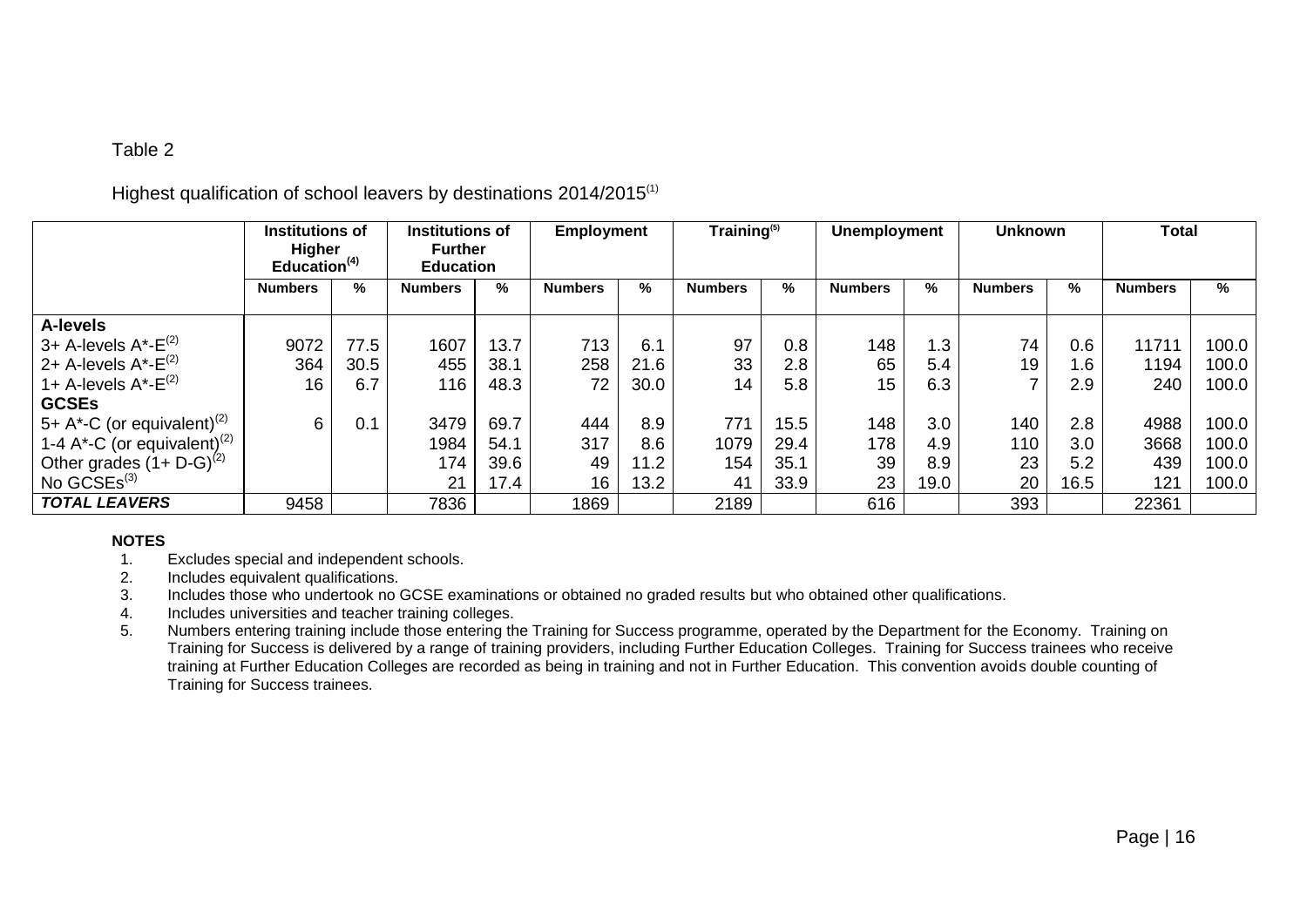# Highest qualification of school leavers by destinations 2014/2015<sup>(1)</sup>

|                                                      | Institutions of<br>Higher<br>Education <sup>(4)</sup> |      | <b>Institutions of</b><br><b>Further</b><br><b>Education</b> |      | Employment     |      | Training <sup>(5)</sup> |      | <b>Unemployment</b> |      | <b>Unknown</b> |      | Total          |       |
|------------------------------------------------------|-------------------------------------------------------|------|--------------------------------------------------------------|------|----------------|------|-------------------------|------|---------------------|------|----------------|------|----------------|-------|
|                                                      | <b>Numbers</b>                                        | %    | <b>Numbers</b>                                               | %    | <b>Numbers</b> | %    | <b>Numbers</b>          | %    | <b>Numbers</b>      | %    | <b>Numbers</b> | %    | <b>Numbers</b> | %     |
| <b>A-levels</b>                                      |                                                       |      |                                                              |      |                |      |                         |      |                     |      |                |      |                |       |
| $^{\prime}$ 3+ A-levels A*-E $^{\left( 2\right) }$   | 9072                                                  | 77.5 | 1607                                                         | 13.7 | 713            | 6.1  | 97                      | 0.8  | 148                 | 1.3  | 74             | 0.6  | 11711          | 100.0 |
| 2+ A-levels $A^*$ - $E^{(2)}$                        | 364                                                   | 30.5 | 455                                                          | 38.1 | 258            | 21.6 | 33                      | 2.8  | 65                  | 5.4  | 19             | 1.6  | 1194           | 100.0 |
| 1+ A-levels $A^*$ - $E^{(2)}$                        | 16                                                    | 6.7  | 116                                                          | 48.3 | 72             | 30.0 | 14                      | 5.8  | 15                  | 6.3  |                | 2.9  | 240            | 100.0 |
| <b>GCSEs</b>                                         |                                                       |      |                                                              |      |                |      |                         |      |                     |      |                |      |                |       |
| $\frac{1}{2}$ 5+ A*-C (or equivalent) <sup>(2)</sup> | 6                                                     | 0.1  | 3479                                                         | 69.7 | 444            | 8.9  | 771                     | 15.5 | 148                 | 3.0  | 140            | 2.8  | 4988           | 100.0 |
| 1-4 A*-C (or equivalent) <sup>(2)</sup>              |                                                       |      | 1984                                                         | 54.1 | 317            | 8.6  | 1079                    | 29.4 | 178                 | 4.9  | 110            | 3.0  | 3668           | 100.0 |
| Other grades $(1 + D - G)^{(2)}$                     |                                                       |      | 174                                                          | 39.6 | 49             | 11.2 | 154                     | 35.1 | 39                  | 8.9  | 23             | 5.2  | 439            | 100.0 |
| No $GCSEs^{(3)}$                                     |                                                       |      | 21                                                           | 17.4 | 16             | 13.2 | 41                      | 33.9 | 23                  | 19.0 | 20             | 16.5 | 121            | 100.0 |
| <b>TOTAL LEAVERS</b>                                 | 9458                                                  |      | 7836                                                         |      | 1869           |      | 2189                    |      | 616                 |      | 393            |      | 22361          |       |

- <span id="page-15-0"></span>1. Excludes special and independent schools.
- 2. Includes equivalent qualifications.
- 3. Includes those who undertook no GCSE examinations or obtained no graded results but who obtained other qualifications.
- 4. Includes universities and teacher training colleges.
- 5. Numbers entering training include those entering the Training for Success programme, operated by the Department for the Economy. Training on Training for Success is delivered by a range of training providers, including Further Education Colleges. Training for Success trainees who receive training at Further Education Colleges are recorded as being in training and not in Further Education. This convention avoids double counting of Training for Success trainees.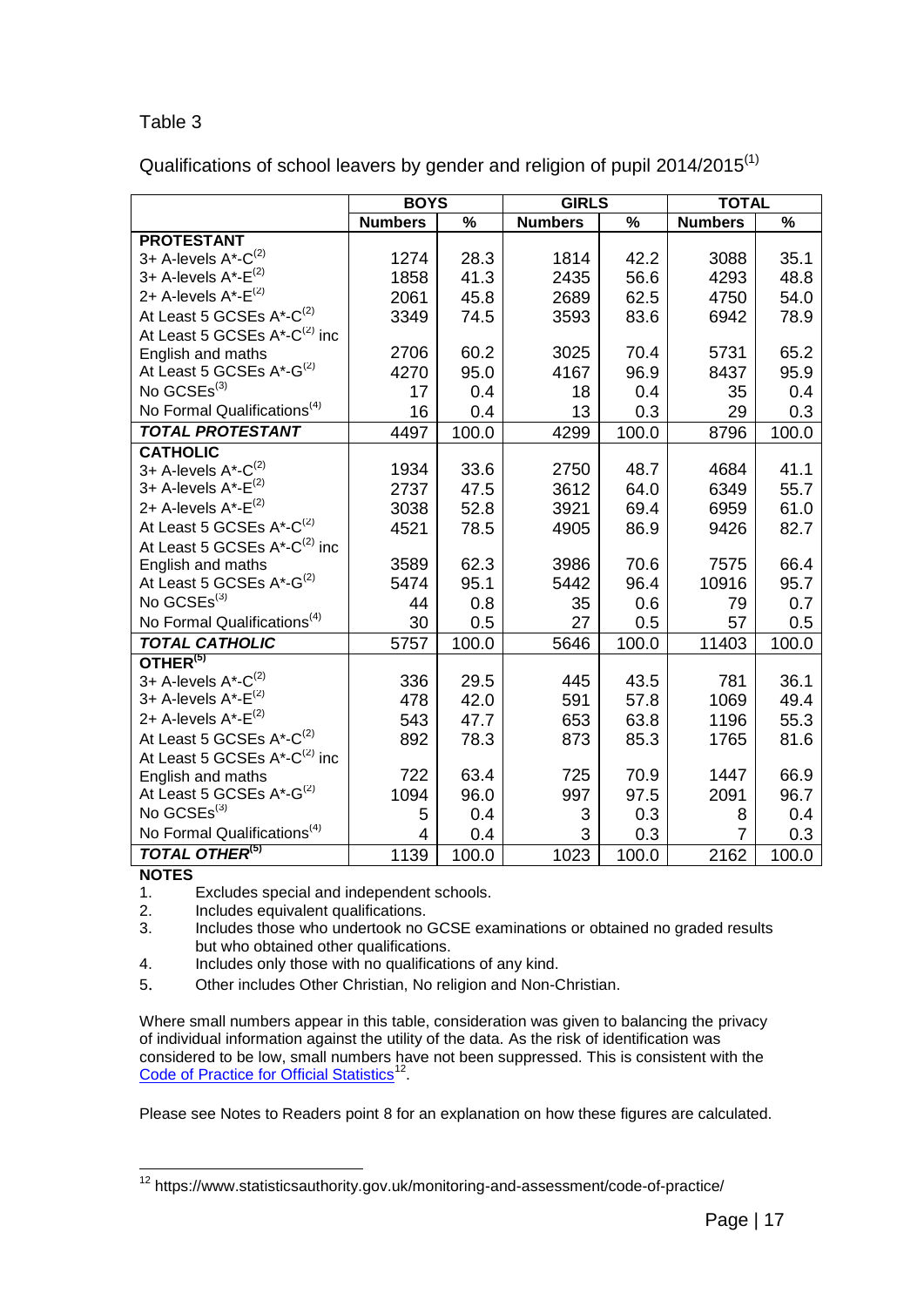<span id="page-16-0"></span>Qualifications of school leavers by gender and religion of pupil 2014/2015<sup>(1)</sup>

|                                          | <b>BOYS</b>    |               | <b>GIRLS</b>   |                          | <b>TOTAL</b>   |               |
|------------------------------------------|----------------|---------------|----------------|--------------------------|----------------|---------------|
|                                          | <b>Numbers</b> | $\frac{9}{6}$ | <b>Numbers</b> | $\overline{\frac{9}{6}}$ | <b>Numbers</b> | $\frac{9}{6}$ |
| <b>PROTESTANT</b>                        |                |               |                |                          |                |               |
| 3+ A-levels $A^*$ - $C^{(2)}$            | 1274           | 28.3          | 1814           | 42.2                     | 3088           | 35.1          |
| 3+ A-levels $A^*$ - $E^{(2)}$            | 1858           | 41.3          | 2435           | 56.6                     | 4293           | 48.8          |
| 2+ A-levels A*-E <sup>(2)</sup>          | 2061           | 45.8          | 2689           | 62.5                     | 4750           | 54.0          |
| At Least 5 GCSEs A*-C <sup>(2)</sup>     | 3349           | 74.5          | 3593           | 83.6                     | 6942           | 78.9          |
| At Least 5 GCSEs A*-C <sup>(2)</sup> inc |                |               |                |                          |                |               |
| English and maths                        | 2706           | 60.2          | 3025           | 70.4                     | 5731           | 65.2          |
| At Least 5 GCSEs A*-G <sup>(2)</sup>     | 4270           | 95.0          | 4167           | 96.9                     | 8437           | 95.9          |
| No GCSEs <sup>(3)</sup>                  | 17             | 0.4           | 18             | 0.4                      | 35             | 0.4           |
| No Formal Qualifications <sup>(4)</sup>  | 16             | 0.4           | 13             | 0.3                      | 29             | 0.3           |
| <b>TOTAL PROTESTANT</b>                  | 4497           | 100.0         | 4299           | 100.0                    | 8796           | 100.0         |
| <b>CATHOLIC</b>                          |                |               |                |                          |                |               |
| 3+ A-levels $A^*$ - $C^{(2)}$            | 1934           | 33.6          | 2750           | 48.7                     | 4684           | 41.1          |
| 3+ A-levels $A^*$ - $E^{(2)}$            | 2737           | 47.5          | 3612           | 64.0                     | 6349           | 55.7          |
| 2+ A-levels A*-E <sup>(2)</sup>          | 3038           | 52.8          | 3921           | 69.4                     | 6959           | 61.0          |
| At Least 5 GCSEs A*-C <sup>(2)</sup>     | 4521           | 78.5          | 4905           | 86.9                     | 9426           | 82.7          |
| At Least 5 GCSEs A*-C <sup>(2)</sup> inc |                |               |                |                          |                |               |
| English and maths                        | 3589           | 62.3          | 3986           | 70.6                     | 7575           | 66.4          |
| At Least 5 GCSEs A*-G <sup>(2)</sup>     | 5474           | 95.1          | 5442           | 96.4                     | 10916          | 95.7          |
| No GCSEs <sup>(3)</sup>                  | 44             | 0.8           | 35             | 0.6                      | 79             | 0.7           |
| No Formal Qualifications <sup>(4)</sup>  | 30             | 0.5           | 27             | 0.5                      | 57             | 0.5           |
| <b>TOTAL CATHOLIC</b>                    | 5757           | 100.0         | 5646           | 100.0                    | 11403          | 100.0         |
| OTHER <sup>(5)</sup>                     |                |               |                |                          |                |               |
| 3+ A-levels $A^*$ -C <sup>(2)</sup>      | 336            | 29.5          | 445            | 43.5                     | 781            | 36.1          |
| 3+ A-levels $A^*$ - $E^{(2)}$            | 478            | 42.0          | 591            | 57.8                     | 1069           | 49.4          |
| 2+ A-levels A*-E <sup>(2)</sup>          | 543            | 47.7          | 653            | 63.8                     | 1196           | 55.3          |
| At Least 5 GCSEs A*-C <sup>(2)</sup>     | 892            | 78.3          | 873            | 85.3                     | 1765           | 81.6          |
| At Least 5 GCSEs A*-C <sup>(2)</sup> inc |                |               |                |                          |                |               |
| English and maths                        | 722            | 63.4          | 725            | 70.9                     | 1447           | 66.9          |
| At Least 5 GCSEs A*-G <sup>(2)</sup>     | 1094           | 96.0          | 997            | 97.5                     | 2091           | 96.7          |
| No GCSEs <sup>(3)</sup>                  | 5              | 0.4           | 3              | 0.3                      | 8              | 0.4           |
| No Formal Qualifications <sup>(4)</sup>  | 4              | 0.4           | 3              | 0.3                      | 7              | 0.3           |
| <b>TOTAL OTHER(5)</b>                    | 1139           | 100.0         | 1023           | 100.0                    | 2162           | 100.0         |

#### **NOTES**

1. Excludes special and independent schools.

2. Includes equivalent qualifications.

- 3. Includes those who undertook no GCSE examinations or obtained no graded results but who obtained other qualifications.
- 4. Includes only those with no qualifications of any kind.
- 5. Other includes Other Christian, No religion and Non-Christian.

Where small numbers appear in this table, consideration was given to balancing the privacy of individual information against the utility of the data. As the risk of identification was considered to be low, small numbers have not been suppressed. This is consistent with the [Code of Practice for Official Statistics](https://www.statisticsauthority.gov.uk/monitoring-and-assessment/code-of-practice/)<sup>12</sup>.

 $\overline{a}$ <sup>12</sup> https://www.statisticsauthority.gov.uk/monitoring-and-assessment/code-of-practice/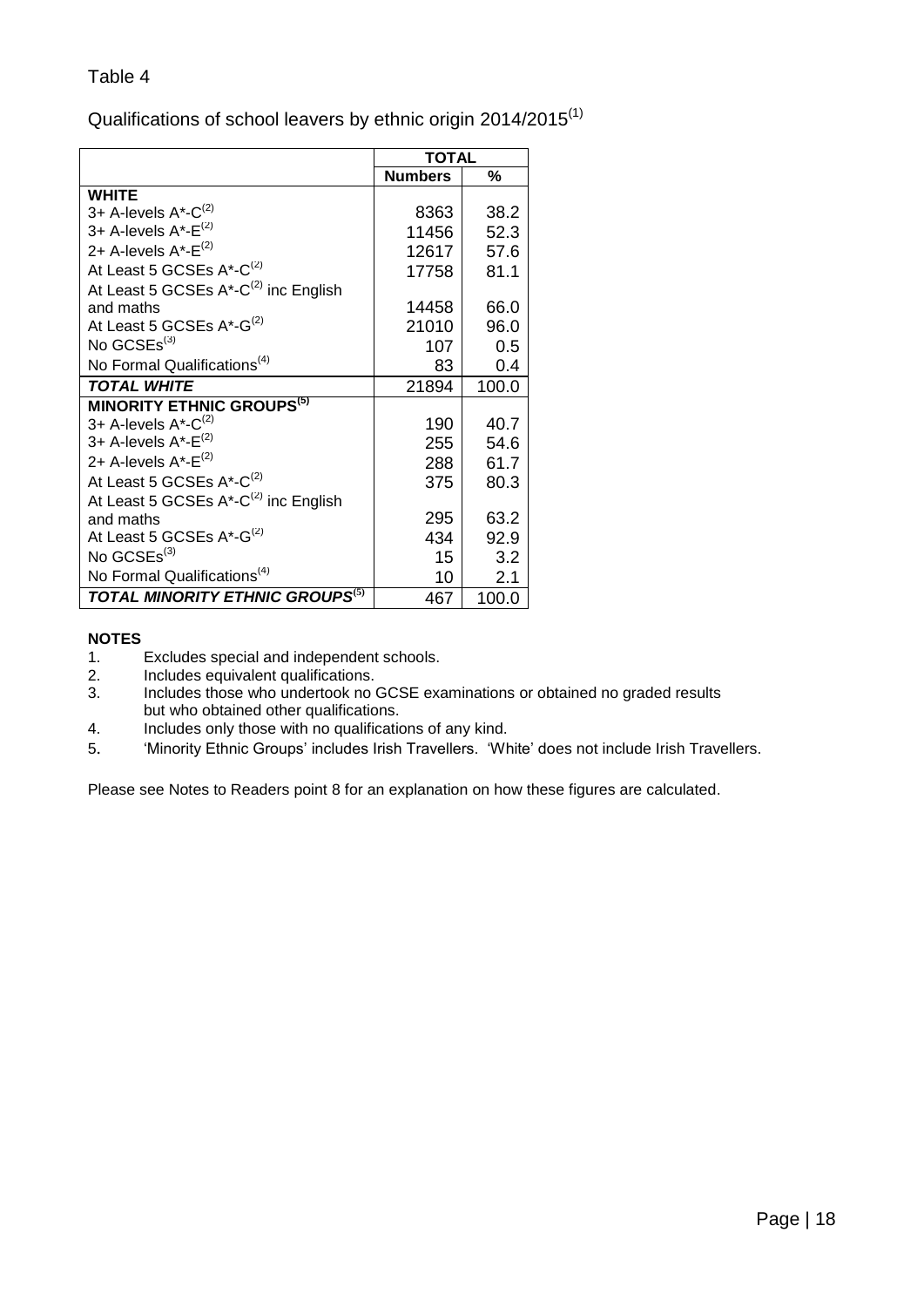<span id="page-17-0"></span>Qualifications of school leavers by ethnic origin 2014/2015<sup>(1)</sup>

|                                                  | <b>TOTAL</b>   |       |
|--------------------------------------------------|----------------|-------|
|                                                  | <b>Numbers</b> | %     |
| <b>WHITE</b>                                     |                |       |
| 3+ A-levels $A^*$ - $C^{(2)}$                    | 8363           | 38.2  |
| 3+ A-levels $A^*$ - $E^{(2)}$                    | 11456          | 52.3  |
| 2+ A-levels A*-E <sup>(2)</sup>                  | 12617          | 57.6  |
| At Least 5 GCSEs A*-C <sup>(2)</sup>             | 17758          | 81.1  |
| At Least 5 GCSEs A*-C <sup>(2)</sup> inc English |                |       |
| and maths                                        | 14458          | 66.0  |
| At Least 5 GCSEs A*-G <sup>(2)</sup>             | 21010          | 96.0  |
| No $GCSEs^{(3)}$                                 | 107            | 0.5   |
| No Formal Qualifications <sup>(4)</sup>          | 83             | 0.4   |
| <b>TOTAL WHITE</b>                               | 21894          | 100.0 |
| <b>MINORITY ETHNIC GROUPS<sup>(5)</sup></b>      |                |       |
| 3+ A-levels A*-C <sup>(2)</sup>                  | 190            | 40.7  |
| 3+ A-levels $A^*$ - $E^{(2)}$                    | 255            | 54.6  |
| 2+ A-levels $A^*$ - $E^{(2)}$                    | 288            | 61.7  |
| At Least 5 GCSEs A*-C <sup>(2)</sup>             | 375            | 80.3  |
| At Least 5 GCSEs A*-C <sup>(2)</sup> inc English |                |       |
| and maths                                        | 295            | 63.2  |
| At Least 5 GCSEs A*-G <sup>(2)</sup>             | 434            | 92.9  |
| No $GCSEs^{(3)}$                                 | 15             | 3.2   |
| No Formal Qualifications <sup>(4)</sup>          | 10             | 2.1   |
| TOTAL MINORITY ETHNIC GROUPS <sup>(5)</sup>      | 467            | 100.0 |

#### **NOTES**

- 1. Excludes special and independent schools.<br>2. Includes equivalent qualifications.
- 2. Includes equivalent qualifications.
- 3. Includes those who undertook no GCSE examinations or obtained no graded results but who obtained other qualifications.
- 4. Includes only those with no qualifications of any kind.
- 5. 'Minority Ethnic Groups' includes Irish Travellers. 'White' does not include Irish Travellers.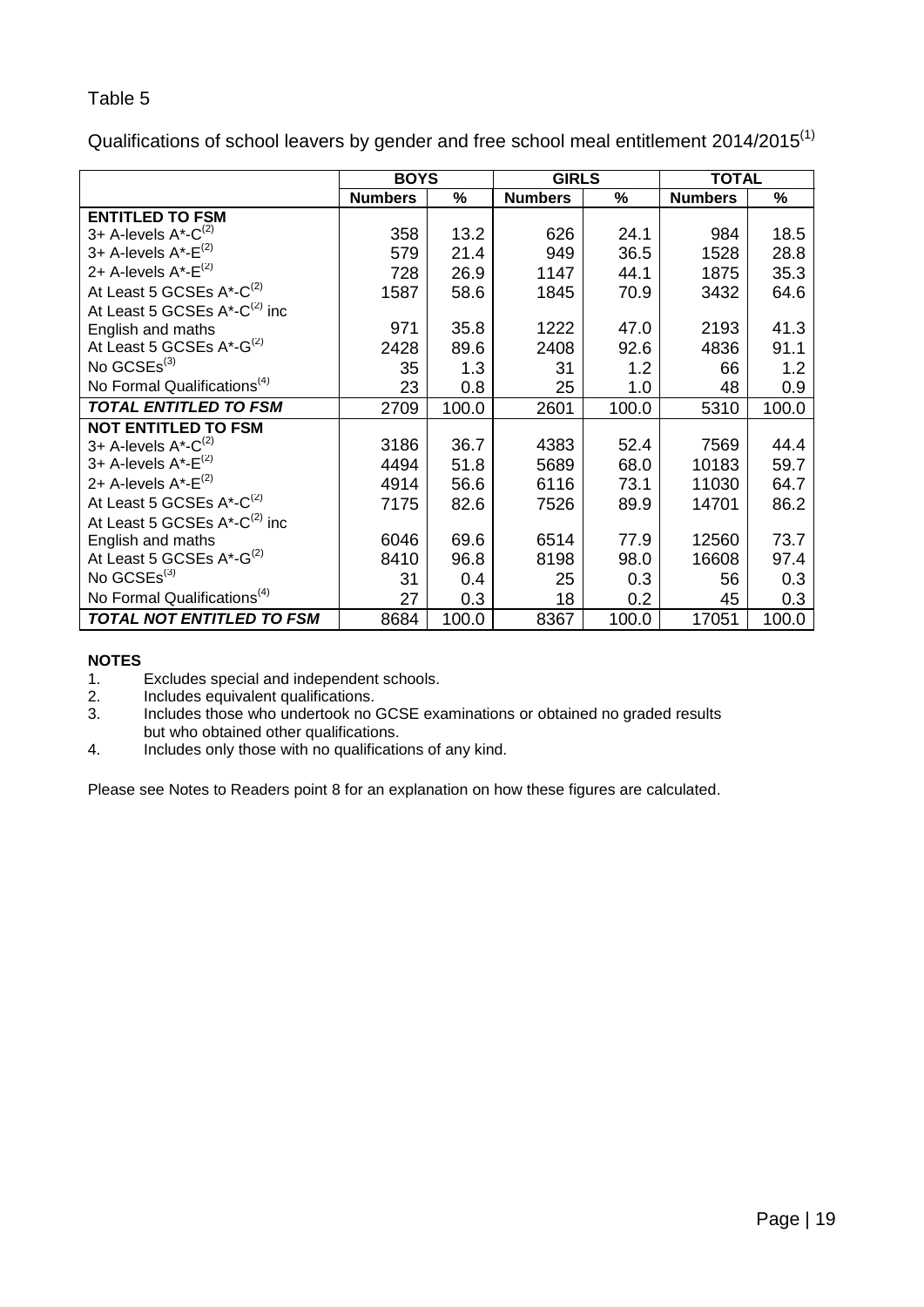<span id="page-18-0"></span>Qualifications of school leavers by gender and free school meal entitlement 2014/2015<sup>(1)</sup>

|                                              | <b>BOYS</b>    |       | <b>GIRLS</b>   |       | <b>TOTAL</b>   |       |
|----------------------------------------------|----------------|-------|----------------|-------|----------------|-------|
|                                              | <b>Numbers</b> | %     | <b>Numbers</b> | $\%$  | <b>Numbers</b> | $\%$  |
| <b>ENTITLED TO FSM</b>                       |                |       |                |       |                |       |
| 3+ A-levels $A^*$ - $C^{(2)}$                | 358            | 13.2  | 626            | 24.1  | 984            | 18.5  |
| 3+ A-levels $A^*$ - $E^{(2)}$                | 579            | 21.4  | 949            | 36.5  | 1528           | 28.8  |
| 2+ A-levels $A^*$ - $E^{(2)}$                | 728            | 26.9  | 1147           | 44.1  | 1875           | 35.3  |
| At Least 5 GCSEs A*-C <sup>(2)</sup>         | 1587           | 58.6  | 1845           | 70.9  | 3432           | 64.6  |
| At Least 5 GCSEs $A^*$ -C <sup>(2)</sup> inc |                |       |                |       |                |       |
| English and maths                            | 971            | 35.8  | 1222           | 47.0  | 2193           | 41.3  |
| At Least 5 GCSEs A*-G <sup>(2)</sup>         | 2428           | 89.6  | 2408           | 92.6  | 4836           | 91.1  |
| No GCSEs <sup>(3)</sup>                      | 35             | 1.3   | 31             | 1.2   | 66             | 1.2   |
| No Formal Qualifications <sup>(4)</sup>      | 23             | 0.8   | 25             | 1.0   | 48             | 0.9   |
| <b>TOTAL ENTITLED TO FSM</b>                 | 2709           | 100.0 | 2601           | 100.0 | 5310           | 100.0 |
| <b>NOT ENTITLED TO FSM</b>                   |                |       |                |       |                |       |
| 3+ A-levels A*-C <sup>(2)</sup>              | 3186           | 36.7  | 4383           | 52.4  | 7569           | 44.4  |
| 3+ A-levels A*-E <sup>(2)</sup>              | 4494           | 51.8  | 5689           | 68.0  | 10183          | 59.7  |
| 2+ A-levels $A^*$ - $E^{(2)}$                | 4914           | 56.6  | 6116           | 73.1  | 11030          | 64.7  |
| At Least 5 GCSEs A*-C <sup>(2)</sup>         | 7175           | 82.6  | 7526           | 89.9  | 14701          | 86.2  |
| At Least 5 GCSEs $A^*$ -C <sup>(2)</sup> inc |                |       |                |       |                |       |
| English and maths                            | 6046           | 69.6  | 6514           | 77.9  | 12560          | 73.7  |
| At Least 5 GCSEs $A^*$ -G <sup>(2)</sup>     | 8410           | 96.8  | 8198           | 98.0  | 16608          | 97.4  |
| No GCSEs <sup>(3)</sup>                      | 31             | 0.4   | 25             | 0.3   | 56             | 0.3   |
| No Formal Qualifications <sup>(4)</sup>      | 27             | 0.3   | 18             | 0.2   | 45             | 0.3   |
| TOTAL NOT ENTITLED TO FSM                    | 8684           | 100.0 | 8367           | 100.0 | 17051          | 100.0 |

#### **NOTES**

- 1. Excludes special and independent schools.
- 2. Includes equivalent qualifications.<br>3. Includes those who undertook no
- Includes those who undertook no GCSE examinations or obtained no graded results but who obtained other qualifications.
- 4. Includes only those with no qualifications of any kind.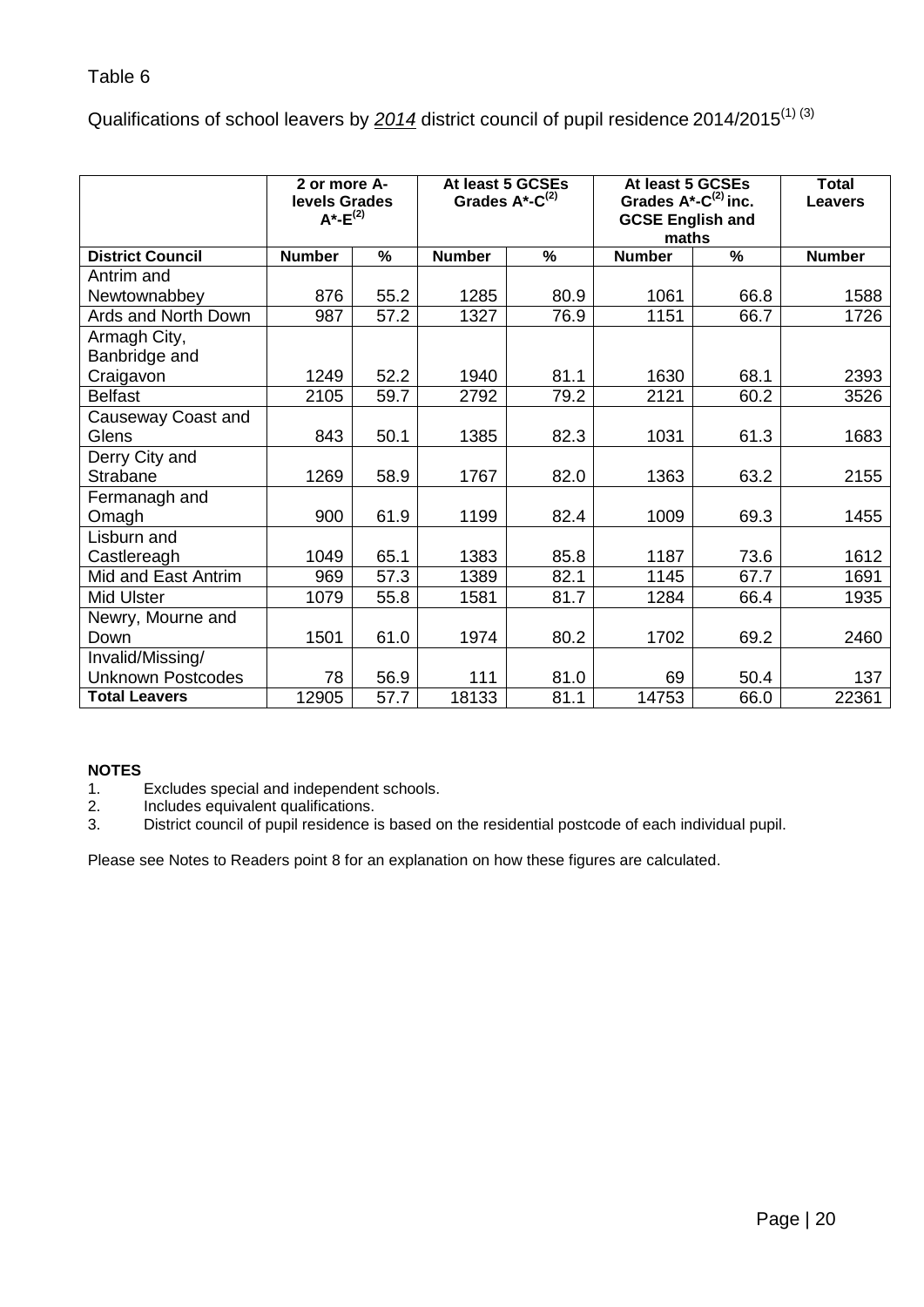<span id="page-19-0"></span>Qualifications of school leavers by 2014 district council of pupil residence 2014/2015<sup>(1) (3)</sup>

|                               | 2 or more A-<br>levels Grades<br>$A^* - E^{(2)}$ |      | At least 5 GCSEs<br>At least 5 GCSEs<br>Grades $A^*$ -C <sup>(2)</sup> inc.<br>Grades $A^*$ -C <sup>(2)</sup><br><b>GCSE English and</b><br>maths |      | <b>Total</b><br><b>Leavers</b> |                          |               |
|-------------------------------|--------------------------------------------------|------|---------------------------------------------------------------------------------------------------------------------------------------------------|------|--------------------------------|--------------------------|---------------|
| <b>District Council</b>       | <b>Number</b>                                    | %    | <b>Number</b>                                                                                                                                     | %    | <b>Number</b>                  | $\overline{\frac{9}{6}}$ | <b>Number</b> |
| Antrim and                    |                                                  |      |                                                                                                                                                   |      |                                |                          |               |
| Newtownabbey                  | 876                                              | 55.2 | 1285                                                                                                                                              | 80.9 | 1061                           | 66.8                     | 1588          |
| Ards and North Down           | 987                                              | 57.2 | 1327                                                                                                                                              | 76.9 | 1151                           | 66.7                     | 1726          |
| Armagh City,<br>Banbridge and |                                                  |      |                                                                                                                                                   |      |                                |                          |               |
| Craigavon                     | 1249                                             | 52.2 | 1940                                                                                                                                              | 81.1 | 1630                           | 68.1                     | 2393          |
| <b>Belfast</b>                | 2105                                             | 59.7 | 2792                                                                                                                                              | 79.2 | 2121                           | 60.2                     | 3526          |
| Causeway Coast and<br>Glens   | 843                                              | 50.1 | 1385                                                                                                                                              | 82.3 | 1031                           | 61.3                     | 1683          |
| Derry City and                |                                                  |      |                                                                                                                                                   |      |                                |                          |               |
| Strabane                      | 1269                                             | 58.9 | 1767                                                                                                                                              | 82.0 | 1363                           | 63.2                     | 2155          |
| Fermanagh and<br>Omagh        | 900                                              | 61.9 | 1199                                                                                                                                              | 82.4 | 1009                           | 69.3                     | 1455          |
| Lisburn and                   |                                                  |      |                                                                                                                                                   |      |                                |                          |               |
| Castlereagh                   | 1049                                             | 65.1 | 1383                                                                                                                                              | 85.8 | 1187                           | 73.6                     | 1612          |
| Mid and East Antrim           | 969                                              | 57.3 | 1389                                                                                                                                              | 82.1 | 1145                           | 67.7                     | 1691          |
| Mid Ulster                    | 1079                                             | 55.8 | 1581                                                                                                                                              | 81.7 | 1284                           | 66.4                     | 1935          |
| Newry, Mourne and<br>Down     | 1501                                             | 61.0 | 1974                                                                                                                                              | 80.2 | 1702                           | 69.2                     | 2460          |
| Invalid/Missing/              |                                                  |      |                                                                                                                                                   |      |                                |                          |               |
| <b>Unknown Postcodes</b>      | 78                                               | 56.9 | 111                                                                                                                                               | 81.0 | 69                             | 50.4                     | 137           |
| <b>Total Leavers</b>          | 12905                                            | 57.7 | 18133                                                                                                                                             | 81.1 | 14753                          | 66.0                     | 22361         |

#### **NOTES**

- 1. Excludes special and independent schools.<br>2. Includes equivalent qualifications.
- 2. Includes equivalent qualifications.<br>3. District council of pupil residence is
- District council of pupil residence is based on the residential postcode of each individual pupil.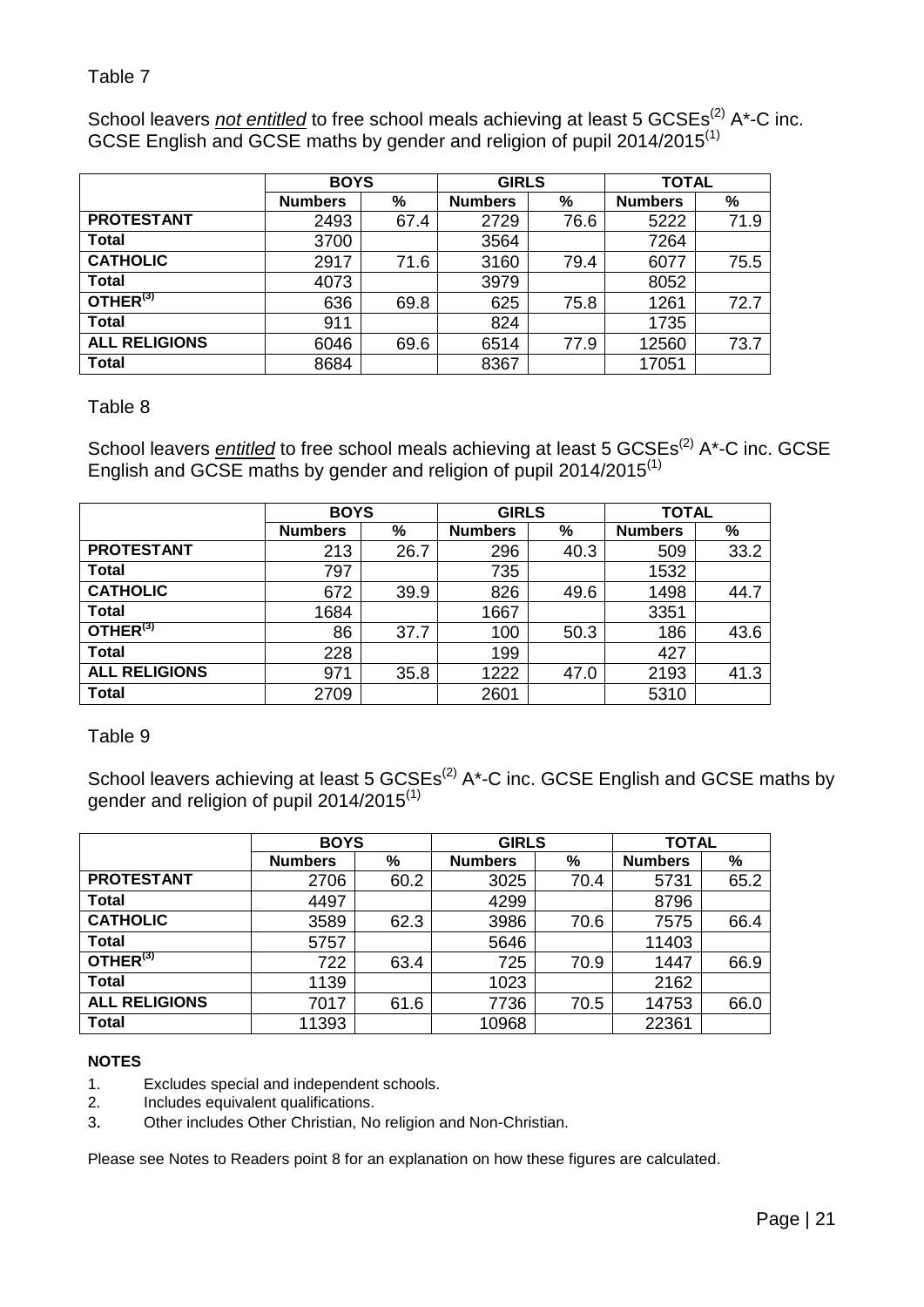<span id="page-20-0"></span>School leavers *not entitled* to free school meals achieving at least 5 GCSEs<sup>(2)</sup> A\*-C inc. GCSE English and GCSE maths by gender and religion of pupil 2014/2015<sup>(1)</sup>

|                      | <b>BOYS</b>    |      | <b>GIRLS</b>   |      | <b>TOTAL</b>   |      |  |
|----------------------|----------------|------|----------------|------|----------------|------|--|
|                      | <b>Numbers</b> | %    | <b>Numbers</b> | %    | <b>Numbers</b> | %    |  |
| <b>PROTESTANT</b>    | 2493           | 67.4 | 2729           | 76.6 | 5222           | 71.9 |  |
| <b>Total</b>         | 3700           |      | 3564           |      | 7264           |      |  |
| <b>CATHOLIC</b>      | 2917           | 71.6 | 3160           | 79.4 | 6077           | 75.5 |  |
| <b>Total</b>         | 4073           |      | 3979           |      | 8052           |      |  |
| OTHER <sup>(3)</sup> | 636            | 69.8 | 625            | 75.8 | 1261           | 72.7 |  |
| <b>Total</b>         | 911            |      | 824            |      | 1735           |      |  |
| <b>ALL RELIGIONS</b> | 6046           | 69.6 | 6514           | 77.9 | 12560          | 73.7 |  |
| <b>Total</b>         | 8684           |      | 8367           |      | 17051          |      |  |

#### <span id="page-20-1"></span>Table 8

School leavers *entitled* to free school meals achieving at least 5 GCSEs<sup>(2)</sup> A\*-C inc. GCSE English and GCSE maths by gender and religion of pupil 2014/2015<sup>(1)</sup>

|                      | <b>BOYS</b>    |      | <b>GIRLS</b>   |      | <b>TOTAL</b>   |      |  |
|----------------------|----------------|------|----------------|------|----------------|------|--|
|                      | <b>Numbers</b> | %    | <b>Numbers</b> | %    | <b>Numbers</b> | %    |  |
| <b>PROTESTANT</b>    | 213            | 26.7 | 296            | 40.3 | 509            | 33.2 |  |
| <b>Total</b>         | 797            |      | 735            |      | 1532           |      |  |
| <b>CATHOLIC</b>      | 672            | 39.9 | 826            | 49.6 | 1498           | 44.7 |  |
| <b>Total</b>         | 1684           |      | 1667           |      | 3351           |      |  |
| OTHER <sup>(3)</sup> | 86             | 37.7 | 100            | 50.3 | 186            | 43.6 |  |
| <b>Total</b>         | 228            |      | 199            |      | 427            |      |  |
| <b>ALL RELIGIONS</b> | 971            | 35.8 | 1222           | 47.0 | 2193           | 41.3 |  |
| <b>Total</b>         | 2709           |      | 2601           |      | 5310           |      |  |

<span id="page-20-2"></span>Table 9

School leavers achieving at least 5  $GCSEs<sup>(2)</sup>$  A\*-C inc. GCSE English and GCSE maths by gender and religion of pupil 2014/2015 $^{(1)}$ 

|                      | <b>BOYS</b>    |      | <b>GIRLS</b>   |      | <b>TOTAL</b>   |      |
|----------------------|----------------|------|----------------|------|----------------|------|
|                      | <b>Numbers</b> | %    | <b>Numbers</b> | %    | <b>Numbers</b> | %    |
| <b>PROTESTANT</b>    | 2706           | 60.2 | 3025           | 70.4 | 5731           | 65.2 |
| <b>Total</b>         | 4497           |      | 4299           |      | 8796           |      |
| <b>CATHOLIC</b>      | 3589           | 62.3 | 3986           | 70.6 | 7575           | 66.4 |
| <b>Total</b>         | 5757           |      | 5646           |      | 11403          |      |
| OTHER <sup>(3)</sup> | 722            | 63.4 | 725            | 70.9 | 1447           | 66.9 |
| <b>Total</b>         | 1139           |      | 1023           |      | 2162           |      |
| <b>ALL RELIGIONS</b> | 7017           | 61.6 | 7736           | 70.5 | 14753          | 66.0 |
| <b>Total</b>         | 11393          |      | 10968          |      | 22361          |      |

#### **NOTES**

- 1. Excludes special and independent schools.
- 2. Includes equivalent qualifications.
- 3. Other includes Other Christian, No religion and Non-Christian.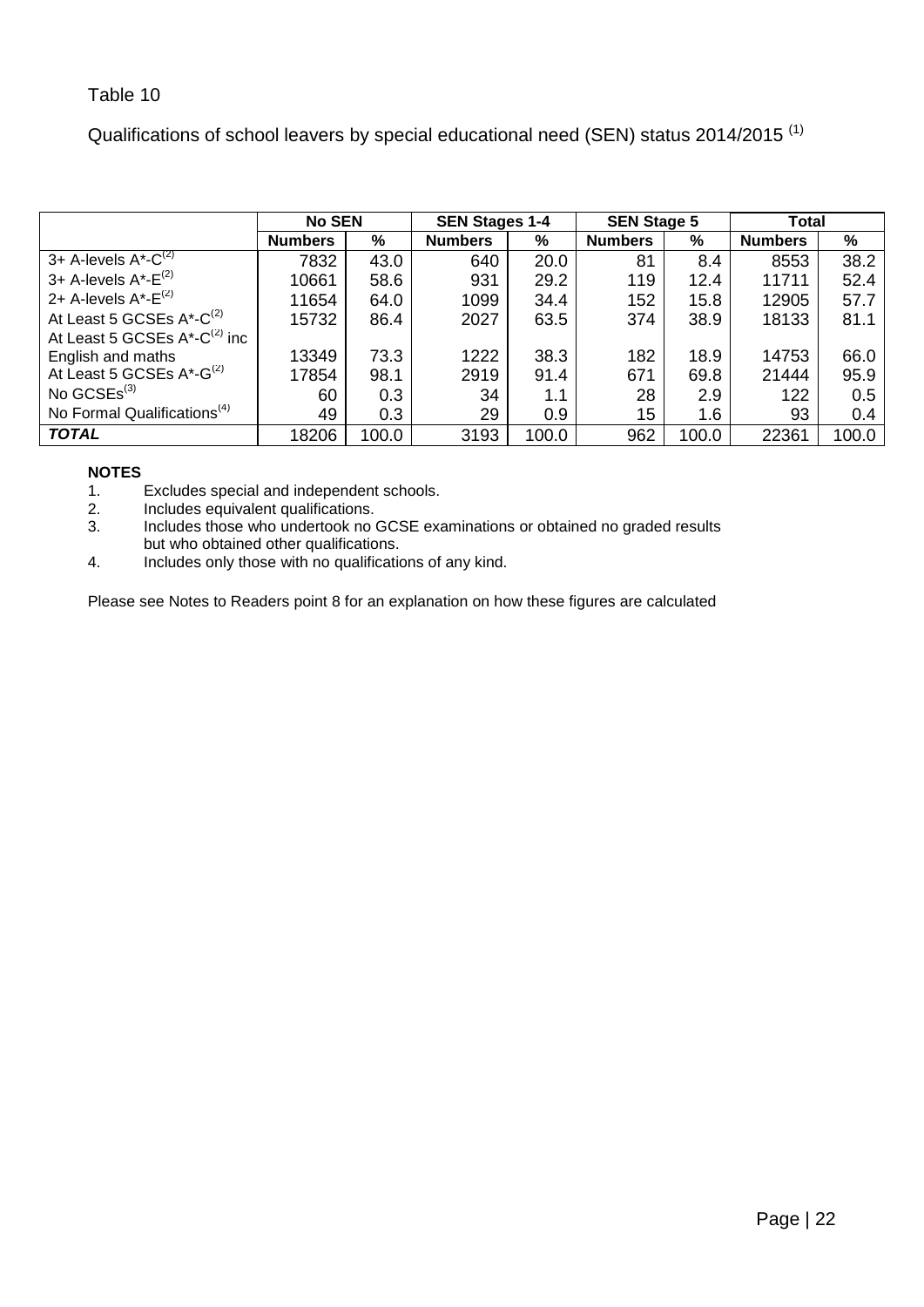<span id="page-21-0"></span>Qualifications of school leavers by special educational need (SEN) status 2014/2015<sup>(1)</sup>

|                                              | <b>No SEN</b>  |       | <b>SEN Stages 1-4</b> |       | <b>SEN Stage 5</b> |       | Total          |       |
|----------------------------------------------|----------------|-------|-----------------------|-------|--------------------|-------|----------------|-------|
|                                              | <b>Numbers</b> | %     | <b>Numbers</b>        | %     | <b>Numbers</b>     | %     | <b>Numbers</b> | $\%$  |
| 3+ A-levels $A^*$ - $\overline{C}^{(2)}$     | 7832           | 43.0  | 640                   | 20.0  | 81                 | 8.4   | 8553           | 38.2  |
| 3+ A-levels $A^*$ - $E^{(2)}$                | 10661          | 58.6  | 931                   | 29.2  | 119                | 12.4  | 11711          | 52.4  |
| 2+ A-levels $A^*$ - $E^{(2)}$                | 11654          | 64.0  | 1099                  | 34.4  | 152                | 15.8  | 12905          | 57.7  |
| At Least 5 GCSEs A*-C <sup>(2)</sup>         | 15732          | 86.4  | 2027                  | 63.5  | 374                | 38.9  | 18133          | 81.1  |
| At Least 5 GCSEs $A^*$ -C <sup>(2)</sup> inc |                |       |                       |       |                    |       |                |       |
| English and maths                            | 13349          | 73.3  | 1222                  | 38.3  | 182                | 18.9  | 14753          | 66.0  |
| At Least 5 GCSEs A*-G <sup>(2)</sup>         | 17854          | 98.1  | 2919                  | 91.4  | 671                | 69.8  | 21444          | 95.9  |
| No $GCSEs^{(3)}$                             | 60             | 0.3   | 34                    | 1.1   | 28                 | 2.9   | 122            | 0.5   |
| No Formal Qualifications <sup>(4)</sup>      | 49             | 0.3   | 29                    | 0.9   | 15                 | 1.6   | 93             | 0.4   |
| <b>TOTAL</b>                                 | 18206          | 100.0 | 3193                  | 100.0 | 962                | 100.0 | 22361          | 100.0 |

# **NOTES**

Excludes special and independent schools.

2. Includes equivalent qualifications.<br>3. Includes those who undertook no

Includes by an example includes those who undertook no GCSE examinations or obtained no graded results but who obtained other qualifications.

4. Includes only those with no qualifications of any kind.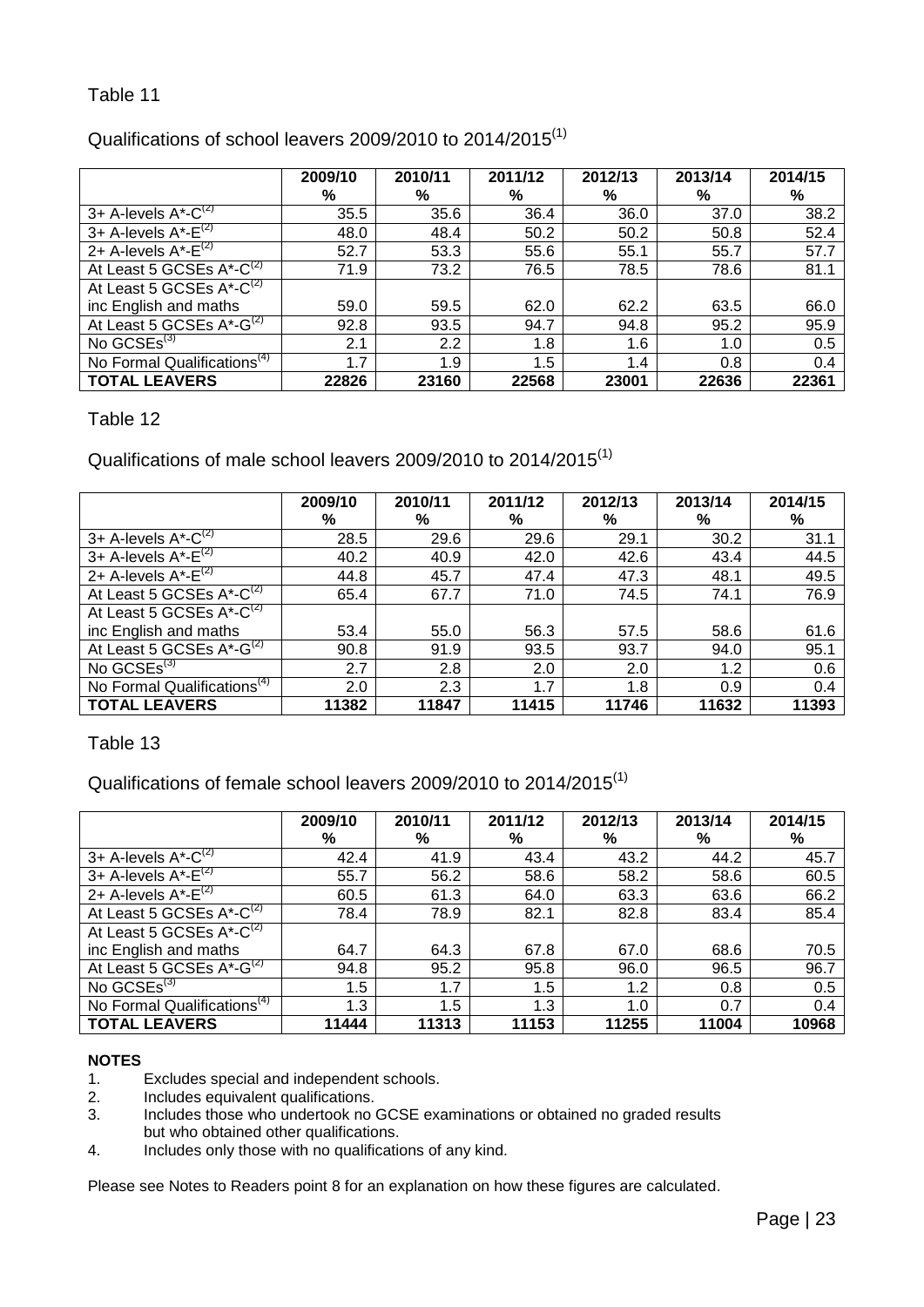# <span id="page-22-0"></span>Qualifications of school leavers 2009/2010 to 2014/2015 $<sup>(1)</sup>$ </sup>

|                                          | 2009/10 | 2010/11 | 2011/12 | 2012/13 | 2013/14 | 2014/15 |
|------------------------------------------|---------|---------|---------|---------|---------|---------|
|                                          | %       | %       | %       | %       | %       | %       |
| 3+ A-levels $A^*$ - $\overline{C}^{(2)}$ | 35.5    | 35.6    | 36.4    | 36.0    | 37.0    | 38.2    |
| 3+ A-levels $A^{\star}$ - $E^{(2)}$      | 48.0    | 48.4    | 50.2    | 50.2    | 50.8    | 52.4    |
| 2+ A-levels $A^*$ - $E^{(2)}$            | 52.7    | 53.3    | 55.6    | 55.1    | 55.7    | 57.7    |
| At Least 5 GCSEs $A^*$ -C <sup>(2)</sup> | 71.9    | 73.2    | 76.5    | 78.5    | 78.6    | 81.1    |
| At Least 5 GCSEs $A^*$ - $C^{(2)}$       |         |         |         |         |         |         |
| inc English and maths                    | 59.0    | 59.5    | 62.0    | 62.2    | 63.5    | 66.0    |
| At Least 5 GCSEs $A^*$ -G <sup>(2)</sup> | 92.8    | 93.5    | 94.7    | 94.8    | 95.2    | 95.9    |
| No $GCSEs^{(3)}$                         | 2.1     | 2.2     | 1.8     | 1.6     | 1.0     | 0.5     |
| No Formal Qualifications <sup>(4)</sup>  | 1.7     | 1.9     | 1.5     | 1.4     | 0.8     | 0.4     |
| <b>TOTAL LEAVERS</b>                     | 22826   | 23160   | 22568   | 23001   | 22636   | 22361   |

#### <span id="page-22-1"></span>Table 12

Qualifications of male school leavers 2009/2010 to 2014/2015<sup>(1)</sup>

|                                          | 2009/10 | 2010/11 | 2011/12 | 2012/13 | 2013/14 | 2014/15 |
|------------------------------------------|---------|---------|---------|---------|---------|---------|
|                                          | %       | %       | %       | ℅       | %       | %       |
| 3+ A-levels $A^*$ - $C^{(2)}$            | 28.5    | 29.6    | 29.6    | 29.1    | 30.2    | 31.1    |
| 3+ A-levels $A^*$ - $E^{(2)}$            | 40.2    | 40.9    | 42.0    | 42.6    | 43.4    | 44.5    |
| 2+ A-levels $A^*$ - $E^{(2)}$            | 44.8    | 45.7    | 47.4    | 47.3    | 48.1    | 49.5    |
| At Least 5 GCSEs A*-C <sup>(2)</sup>     | 65.4    | 67.7    | 71.0    | 74.5    | 74.1    | 76.9    |
| At Least 5 GCSEs $A^*$ -C <sup>(2)</sup> |         |         |         |         |         |         |
| inc English and maths                    | 53.4    | 55.0    | 56.3    | 57.5    | 58.6    | 61.6    |
| At Least 5 GCSEs $A^*$ -G <sup>(2)</sup> | 90.8    | 91.9    | 93.5    | 93.7    | 94.0    | 95.1    |
| No GCSEs $^{(3)}$                        | 2.7     | 2.8     | 2.0     | 2.0     | 1.2     | 0.6     |
| No Formal Qualifications <sup>(4)</sup>  | 2.0     | 2.3     | 1.7     | 1.8     | 0.9     | 0.4     |
| <b>TOTAL LEAVERS</b>                     | 11382   | 11847   | 11415   | 11746   | 11632   | 11393   |

## <span id="page-22-2"></span>Table 13

Qualifications of female school leavers 2009/2010 to 2014/2015<sup>(1)</sup>

|                                          | 2009/10 | 2010/11 | 2011/12 | 2012/13 | 2013/14 | 2014/15 |
|------------------------------------------|---------|---------|---------|---------|---------|---------|
|                                          | %       | %       | %       | %       | %       | %       |
| 3+ A-levels $A^*$ - $\overline{C}^{(2)}$ | 42.4    | 41.9    | 43.4    | 43.2    | 44.2    | 45.7    |
| 3+ A-levels $A^*$ - $E^{(2)}$            | 55.7    | 56.2    | 58.6    | 58.2    | 58.6    | 60.5    |
| 2+ A-levels $A^*$ - $E^{(2)}$            | 60.5    | 61.3    | 64.0    | 63.3    | 63.6    | 66.2    |
| At Least 5 GCSEs $A^*$ - $C^{(2)}$       | 78.4    | 78.9    | 82.1    | 82.8    | 83.4    | 85.4    |
| At Least 5 GCSEs $A^*$ -C <sup>(2)</sup> |         |         |         |         |         |         |
| inc English and maths                    | 64.7    | 64.3    | 67.8    | 67.0    | 68.6    | 70.5    |
| At Least 5 GCSEs A*-G <sup>(2)</sup>     | 94.8    | 95.2    | 95.8    | 96.0    | 96.5    | 96.7    |
| No $GCSEs^{(3)}$                         | 1.5     | 1.7     | 1.5     | 1.2     | 0.8     | 0.5     |
| No Formal Qualifications <sup>(4)</sup>  | 1.3     | 1.5     | 1.3     | 1.0     | 0.7     | 0.4     |
| <b>TOTAL LEAVERS</b>                     | 11444   | 11313   | 11153   | 11255   | 11004   | 10968   |

#### **NOTES**

- 1. Excludes special and independent schools.<br>2. Includes equivalent qualifications.
- 2. Includes equivalent qualifications.<br>3. Includes those who undertook no
- Includes those who undertook no GCSE examinations or obtained no graded results but who obtained other qualifications.
- 4. Includes only those with no qualifications of any kind.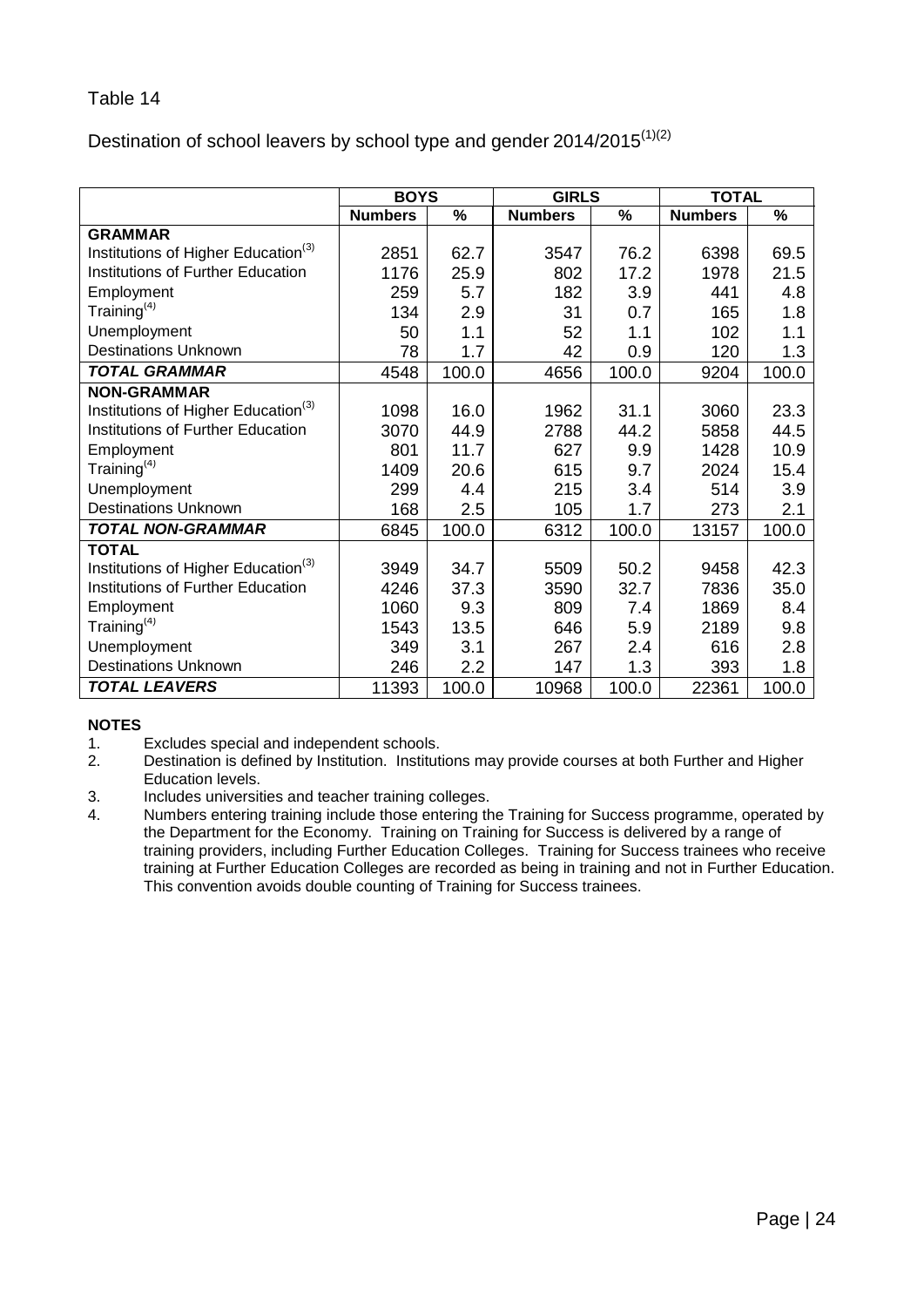<span id="page-23-0"></span>Destination of school leavers by school type and gender 2014/2015 $(1)(2)$ 

|                                                 | <b>BOYS</b>    |       | <b>GIRLS</b>   |       | <b>TOTAL</b>   |       |
|-------------------------------------------------|----------------|-------|----------------|-------|----------------|-------|
|                                                 | <b>Numbers</b> | %     | <b>Numbers</b> | %     | <b>Numbers</b> | %     |
| <b>GRAMMAR</b>                                  |                |       |                |       |                |       |
| Institutions of Higher Education <sup>(3)</sup> | 2851           | 62.7  | 3547           | 76.2  | 6398           | 69.5  |
| <b>Institutions of Further Education</b>        | 1176           | 25.9  | 802            | 17.2  | 1978           | 21.5  |
| Employment                                      | 259            | 5.7   | 182            | 3.9   | 441            | 4.8   |
| Training <sup>(4)</sup>                         | 134            | 2.9   | 31             | 0.7   | 165            | 1.8   |
| Unemployment                                    | 50             | 1.1   | 52             | 1.1   | 102            | 1.1   |
| <b>Destinations Unknown</b>                     | 78             | 1.7   | 42             | 0.9   | 120            | 1.3   |
| <b>TOTAL GRAMMAR</b>                            | 4548           | 100.0 | 4656           | 100.0 | 9204           | 100.0 |
| <b>NON-GRAMMAR</b>                              |                |       |                |       |                |       |
| Institutions of Higher Education <sup>(3)</sup> | 1098           | 16.0  | 1962           | 31.1  | 3060           | 23.3  |
| <b>Institutions of Further Education</b>        | 3070           | 44.9  | 2788           | 44.2  | 5858           | 44.5  |
| Employment                                      | 801            | 11.7  | 627            | 9.9   | 1428           | 10.9  |
| Training $(4)$                                  | 1409           | 20.6  | 615            | 9.7   | 2024           | 15.4  |
| Unemployment                                    | 299            | 4.4   | 215            | 3.4   | 514            | 3.9   |
| <b>Destinations Unknown</b>                     | 168            | 2.5   | 105            | 1.7   | 273            | 2.1   |
| <b>TOTAL NON-GRAMMAR</b>                        | 6845           | 100.0 | 6312           | 100.0 | 13157          | 100.0 |
| <b>TOTAL</b>                                    |                |       |                |       |                |       |
| Institutions of Higher Education <sup>(3)</sup> | 3949           | 34.7  | 5509           | 50.2  | 9458           | 42.3  |
| <b>Institutions of Further Education</b>        | 4246           | 37.3  | 3590           | 32.7  | 7836           | 35.0  |
| Employment                                      | 1060           | 9.3   | 809            | 7.4   | 1869           | 8.4   |
| Training $(4)$                                  | 1543           | 13.5  | 646            | 5.9   | 2189           | 9.8   |
| Unemployment                                    | 349            | 3.1   | 267            | 2.4   | 616            | 2.8   |
| <b>Destinations Unknown</b>                     | 246            | 2.2   | 147            | 1.3   | 393            | 1.8   |
| <b>TOTAL LEAVERS</b>                            | 11393          | 100.0 | 10968          | 100.0 | 22361          | 100.0 |

- Excludes special and independent schools.
- 2. Destination is defined by Institution. Institutions may provide courses at both Further and Higher Education levels.
- 3. Includes universities and teacher training colleges.
- 4. Numbers entering training include those entering the Training for Success programme, operated by the Department for the Economy. Training on Training for Success is delivered by a range of training providers, including Further Education Colleges. Training for Success trainees who receive training at Further Education Colleges are recorded as being in training and not in Further Education. This convention avoids double counting of Training for Success trainees.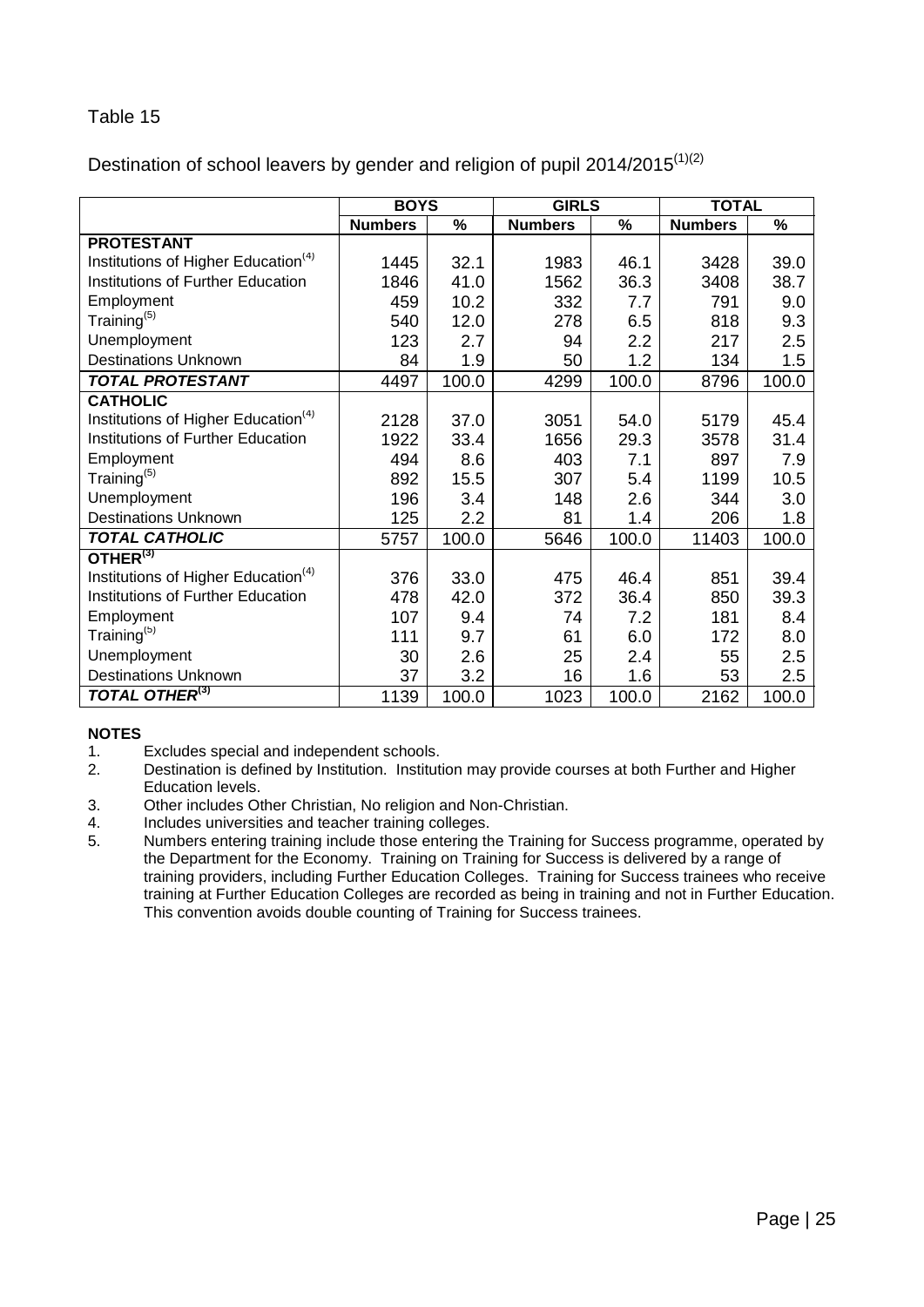<span id="page-24-0"></span>Destination of school leavers by gender and religion of pupil 2014/2015 $(1)(2)$ 

|                                                 | <b>BOYS</b>    |       | <b>GIRLS</b>   |       | <b>TOTAL</b>   |       |
|-------------------------------------------------|----------------|-------|----------------|-------|----------------|-------|
|                                                 | <b>Numbers</b> | %     | <b>Numbers</b> | %     | <b>Numbers</b> | %     |
| <b>PROTESTANT</b>                               |                |       |                |       |                |       |
| Institutions of Higher Education <sup>(4)</sup> | 1445           | 32.1  | 1983           | 46.1  | 3428           | 39.0  |
| Institutions of Further Education               | 1846           | 41.0  | 1562           | 36.3  | 3408           | 38.7  |
| Employment                                      | 459            | 10.2  | 332            | 7.7   | 791            | 9.0   |
| Training <sup>(5)</sup>                         | 540            | 12.0  | 278            | 6.5   | 818            | 9.3   |
| Unemployment                                    | 123            | 2.7   | 94             | 2.2   | 217            | 2.5   |
| <b>Destinations Unknown</b>                     | 84             | 1.9   | 50             | 1.2   | 134            | 1.5   |
| <b>TOTAL PROTESTANT</b>                         | 4497           | 100.0 | 4299           | 100.0 | 8796           | 100.0 |
| <b>CATHOLIC</b>                                 |                |       |                |       |                |       |
| Institutions of Higher Education <sup>(4)</sup> | 2128           | 37.0  | 3051           | 54.0  | 5179           | 45.4  |
| Institutions of Further Education               | 1922           | 33.4  | 1656           | 29.3  | 3578           | 31.4  |
| Employment                                      | 494            | 8.6   | 403            | 7.1   | 897            | 7.9   |
| Training <sup>(5)</sup>                         | 892            | 15.5  | 307            | 5.4   | 1199           | 10.5  |
| Unemployment                                    | 196            | 3.4   | 148            | 2.6   | 344            | 3.0   |
| <b>Destinations Unknown</b>                     | 125            | 2.2   | 81             | 1.4   | 206            | 1.8   |
| <b>TOTAL CATHOLIC</b>                           | 5757           | 100.0 | 5646           | 100.0 | 11403          | 100.0 |
| OTHER <sup>(3)</sup>                            |                |       |                |       |                |       |
| Institutions of Higher Education <sup>(4)</sup> | 376            | 33.0  | 475            | 46.4  | 851            | 39.4  |
| <b>Institutions of Further Education</b>        | 478            | 42.0  | 372            | 36.4  | 850            | 39.3  |
| Employment                                      | 107            | 9.4   | 74             | 7.2   | 181            | 8.4   |
| Training <sup>(5)</sup>                         | 111            | 9.7   | 61             | 6.0   | 172            | 8.0   |
| Unemployment                                    | 30             | 2.6   | 25             | 2.4   | 55             | 2.5   |
| <b>Destinations Unknown</b>                     | 37             | 3.2   | 16             | 1.6   | 53             | 2.5   |
| <b>TOTAL OTHER(3)</b>                           | 1139           | 100.0 | 1023           | 100.0 | 2162           | 100.0 |

- 1. Excludes special and independent schools.<br>2. Destination is defined by Institution. Instituti
- 2. Destination is defined by Institution. Institution may provide courses at both Further and Higher Education levels.
- 3. Other includes Other Christian, No religion and Non-Christian.
- 4. Includes universities and teacher training colleges.
- 5. Numbers entering training include those entering the Training for Success programme, operated by the Department for the Economy. Training on Training for Success is delivered by a range of training providers, including Further Education Colleges. Training for Success trainees who receive training at Further Education Colleges are recorded as being in training and not in Further Education. This convention avoids double counting of Training for Success trainees.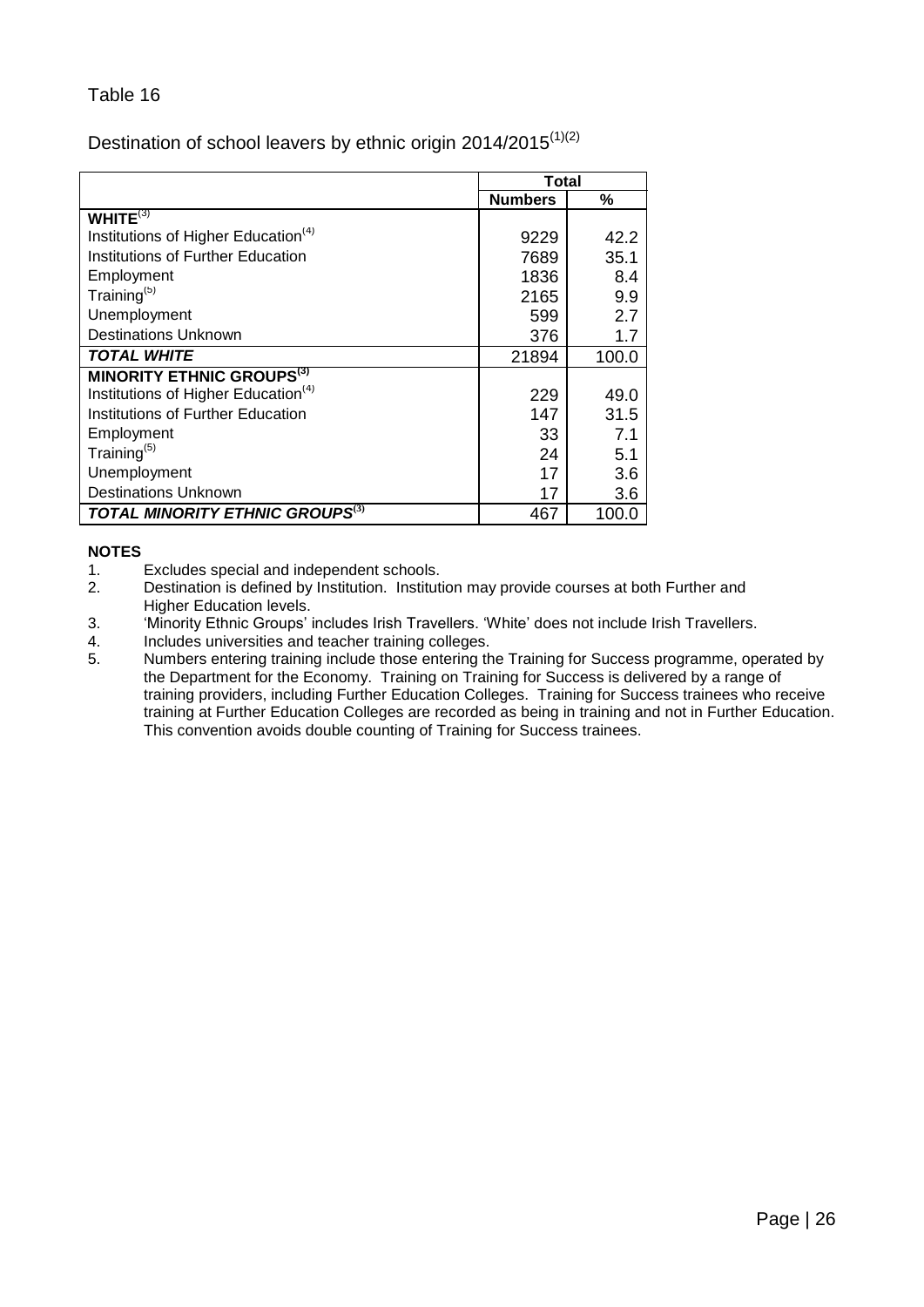# <span id="page-25-0"></span>Destination of school leavers by ethnic origin 2014/2015<sup>(1)(2)</sup>

|                                                    | Total          |       |
|----------------------------------------------------|----------------|-------|
|                                                    | <b>Numbers</b> | %     |
| WHITE $(3)$                                        |                |       |
| Institutions of Higher Education <sup>(4)</sup>    | 9229           | 42.2  |
| Institutions of Further Education                  | 7689           | 35.1  |
| Employment                                         | 1836           | 8.4   |
| Training $(5)$                                     | 2165           | 9.9   |
| Unemployment                                       | 599            | 2.7   |
| <b>Destinations Unknown</b>                        | 376            | 1.7   |
| <b>TOTAL WHITE</b>                                 | 21894          | 100.0 |
| <b>MINORITY ETHNIC GROUPS(3)</b>                   |                |       |
| Institutions of Higher Education <sup>(4)</sup>    | 229            | 49.0  |
| Institutions of Further Education                  | 147            | 31.5  |
| Employment                                         | 33             | 7.1   |
| Training $(5)$                                     | 24             | 5.1   |
| Unemployment                                       | 17             | 3.6   |
| <b>Destinations Unknown</b>                        | 17             | 3.6   |
| <b>TOTAL MINORITY ETHNIC GROUPS</b> <sup>(3)</sup> | 467            | 100.0 |

- 1. Excludes special and independent schools.<br>2. Destination is defined by Institution. Instituti
- Destination is defined by Institution. Institution may provide courses at both Further and Higher Education levels.
- 3. 'Minority Ethnic Groups' includes Irish Travellers. 'White' does not include Irish Travellers.<br>4. Includes universities and teacher training colleges.
- 4. Includes universities and teacher training colleges.<br>5. Numbers entering training include those entering the
- Numbers entering training include those entering the Training for Success programme, operated by the Department for the Economy. Training on Training for Success is delivered by a range of training providers, including Further Education Colleges. Training for Success trainees who receive training at Further Education Colleges are recorded as being in training and not in Further Education. This convention avoids double counting of Training for Success trainees.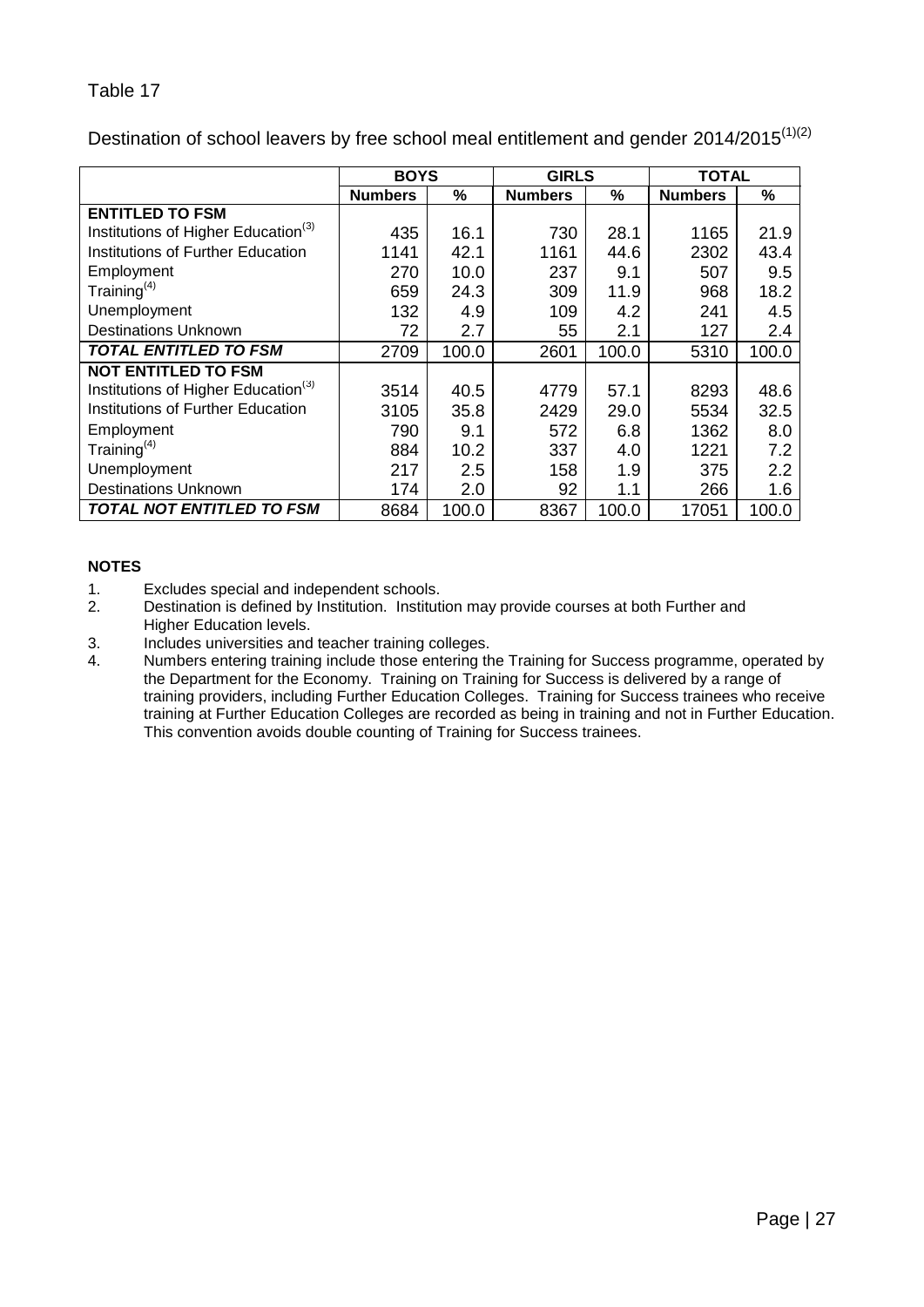<span id="page-26-0"></span>

| Destination of school leavers by free school meal entitlement and gender 2014/2015 <sup>(1)(2)</sup> |  |  |
|------------------------------------------------------------------------------------------------------|--|--|
|                                                                                                      |  |  |
|                                                                                                      |  |  |

|                                                 | <b>BOYS</b>    |       | <b>GIRLS</b>   |       | <b>TOTAL</b>   |       |
|-------------------------------------------------|----------------|-------|----------------|-------|----------------|-------|
|                                                 | <b>Numbers</b> | %     | <b>Numbers</b> | %     | <b>Numbers</b> | %     |
| <b>ENTITLED TO FSM</b>                          |                |       |                |       |                |       |
| Institutions of Higher Education <sup>(3)</sup> | 435            | 16.1  | 730            | 28.1  | 1165           | 21.9  |
| Institutions of Further Education               | 1141           | 42.1  | 1161           | 44.6  | 2302           | 43.4  |
| Employment                                      | 270            | 10.0  | 237            | 9.1   | 507            | 9.5   |
| Training $(4)$                                  | 659            | 24.3  | 309            | 11.9  | 968            | 18.2  |
| Unemployment                                    | 132            | 4.9   | 109            | 4.2   | 241            | 4.5   |
| <b>Destinations Unknown</b>                     | 72             | 2.7   | 55             | 2.1   | 127            | 2.4   |
| <b>TOTAL ENTITLED TO FSM</b>                    | 2709           | 100.0 | 2601           | 100.0 | 5310           | 100.0 |
| <b>NOT ENTITLED TO FSM</b>                      |                |       |                |       |                |       |
| Institutions of Higher Education <sup>(3)</sup> | 3514           | 40.5  | 4779           | 57.1  | 8293           | 48.6  |
| Institutions of Further Education               | 3105           | 35.8  | 2429           | 29.0  | 5534           | 32.5  |
| Employment                                      | 790            | 9.1   | 572            | 6.8   | 1362           | 8.0   |
| Training $(4)$                                  | 884            | 10.2  | 337            | 4.0   | 1221           | 7.2   |
| Unemployment                                    | 217            | 2.5   | 158            | 1.9   | 375            | 2.2   |
| <b>Destinations Unknown</b>                     | 174            | 2.0   | 92             | 1.1   | 266            | 1.6   |
| <b>TOTAL NOT ENTITLED TO FSM</b>                | 8684           | 100.0 | 8367           | 100.0 | 17051          | 100.0 |

- 1. Excludes special and independent schools.<br>2. Destination is defined by Institution. Instituti
- 2. Destination is defined by Institution. Institution may provide courses at both Further and Higher Education levels.
- 3. Includes universities and teacher training colleges.<br>4. Numbers entering training include those entering the
- Numbers entering training include those entering the Training for Success programme, operated by the Department for the Economy. Training on Training for Success is delivered by a range of training providers, including Further Education Colleges. Training for Success trainees who receive training at Further Education Colleges are recorded as being in training and not in Further Education. This convention avoids double counting of Training for Success trainees.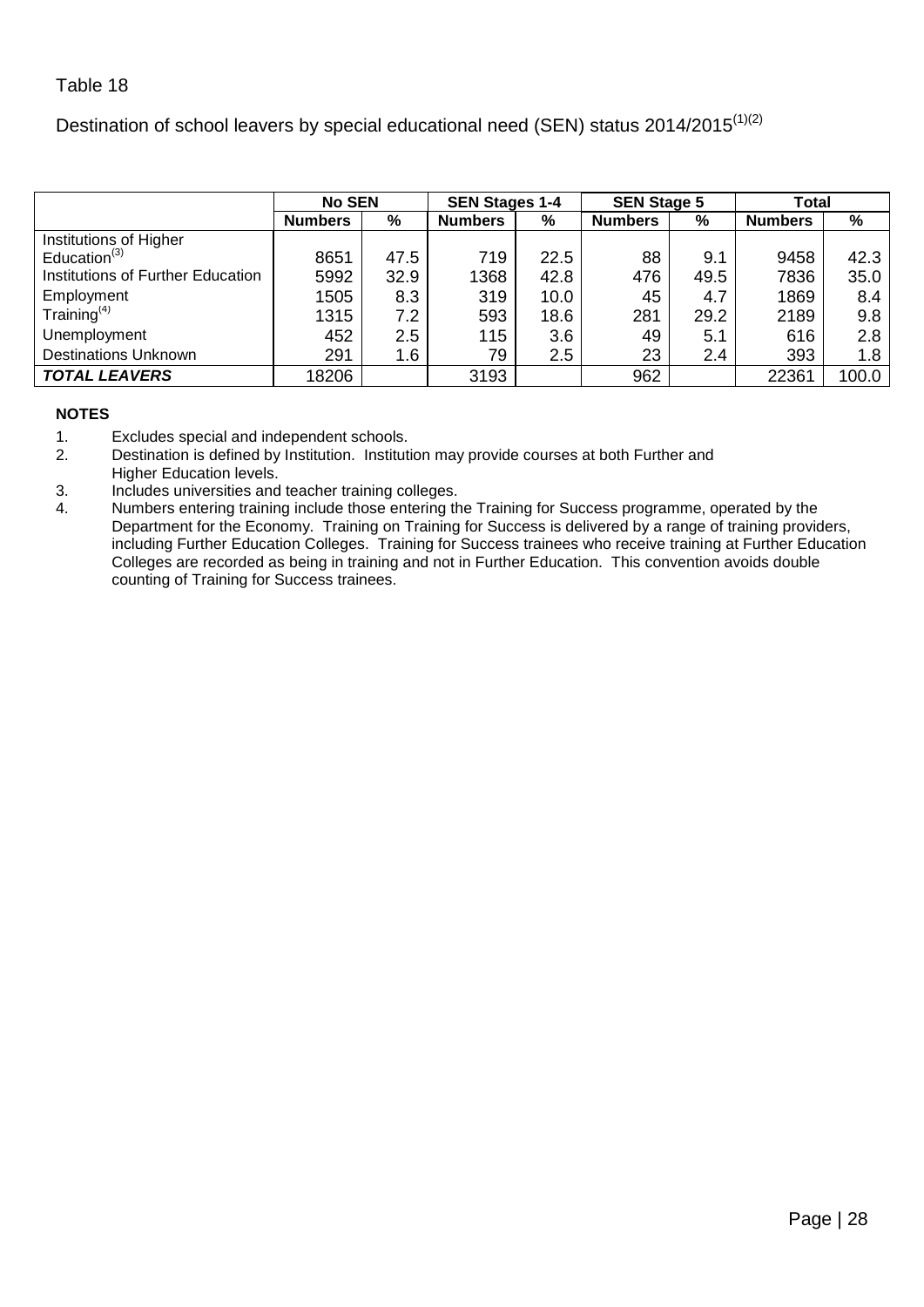<span id="page-27-0"></span>Destination of school leavers by special educational need (SEN) status 2014/2015 $(1)(2)$ 

|                                   | <b>No SEN</b>  |      | <b>SEN Stages 1-4</b> |      | <b>SEN Stage 5</b> |      | Total          |       |
|-----------------------------------|----------------|------|-----------------------|------|--------------------|------|----------------|-------|
|                                   | <b>Numbers</b> | %    | <b>Numbers</b>        | %    | <b>Numbers</b>     | %    | <b>Numbers</b> | %     |
| Institutions of Higher            |                |      |                       |      |                    |      |                |       |
| Education $(3)$                   | 8651           | 47.5 | 719                   | 22.5 | 88                 | 9.1  | 9458           | 42.3  |
| Institutions of Further Education | 5992           | 32.9 | 1368                  | 42.8 | 476                | 49.5 | 7836           | 35.0  |
| Employment                        | 1505           | 8.3  | 319                   | 10.0 | 45                 | 4.7  | 1869           | 8.4   |
| Training $(4)$                    | 1315           | 7.2  | 593                   | 18.6 | 281                | 29.2 | 2189           | 9.8   |
| Unemployment                      | 452            | 2.5  | 115                   | 3.6  | 49                 | 5.1  | 616            | 2.8   |
| <b>Destinations Unknown</b>       | 291            | 1.6  | 79                    | 2.5  | 23                 | 2.4  | 393            | 1.8   |
| <b>TOTAL LEAVERS</b>              | 18206          |      | 3193                  |      | 962                |      | 22361          | 100.0 |

- 1. Excludes special and independent schools.<br>2. Destination is defined by Institution. Institut
- Destination is defined by Institution. Institution may provide courses at both Further and Higher Education levels.
- 3. Includes universities and teacher training colleges.
- 4. Numbers entering training include those entering the Training for Success programme, operated by the Department for the Economy. Training on Training for Success is delivered by a range of training providers, including Further Education Colleges. Training for Success trainees who receive training at Further Education Colleges are recorded as being in training and not in Further Education. This convention avoids double counting of Training for Success trainees.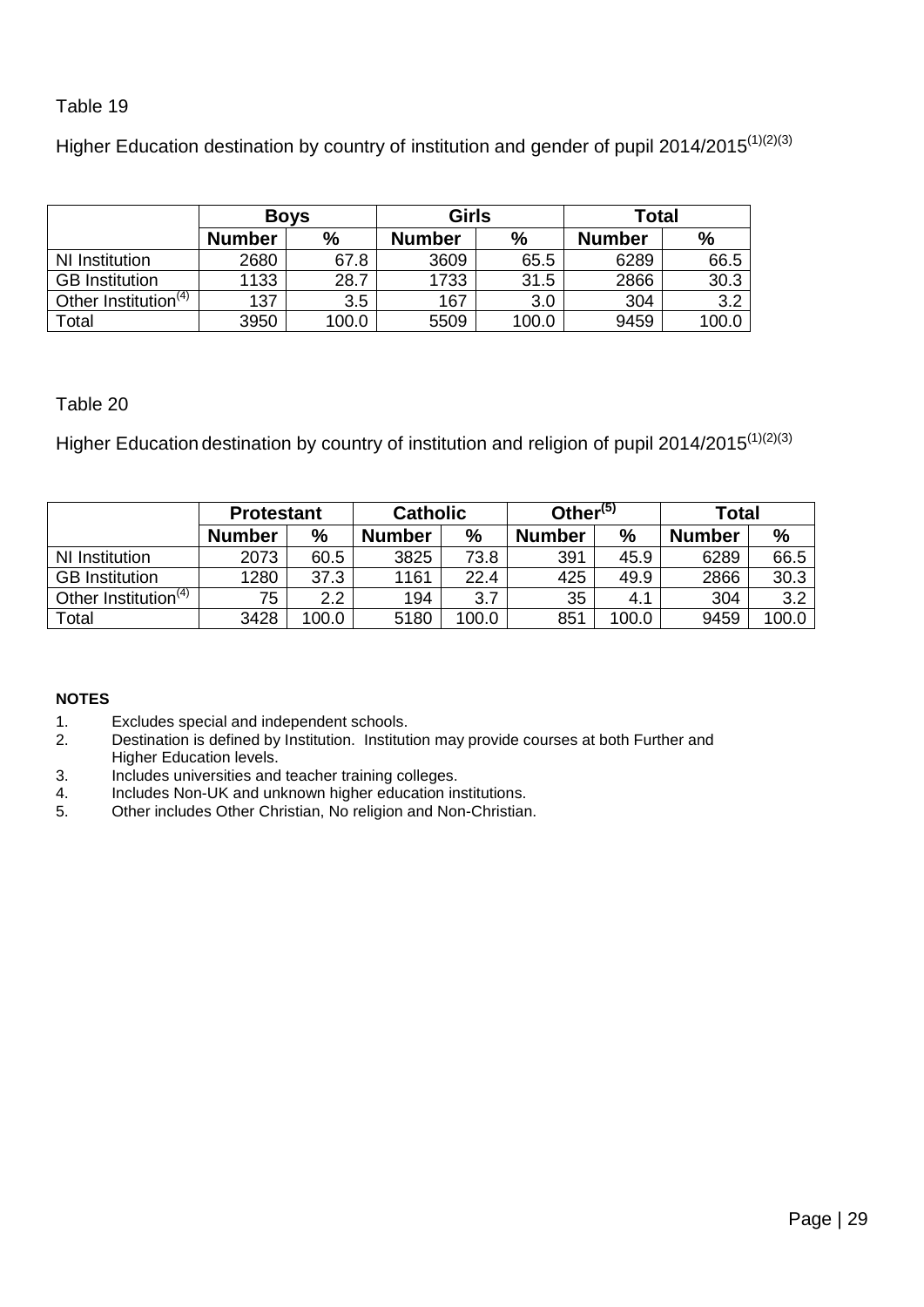<span id="page-28-0"></span>Higher Education destination by country of institution and gender of pupil 2014/2015<sup>(1)(2)(3)</sup>

|                                  | <b>Boys</b>   |       | <b>Girls</b>  |       | <b>Total</b>  |               |  |
|----------------------------------|---------------|-------|---------------|-------|---------------|---------------|--|
|                                  | <b>Number</b> | %     | <b>Number</b> | %     | <b>Number</b> | $\frac{9}{6}$ |  |
| NI Institution                   | 2680          | 67.8  | 3609          | 65.5  | 6289          | 66.5          |  |
| <b>GB</b> Institution            | 1133          | 28.7  | 1733          | 31.5  | 2866          | 30.3          |  |
| Other Institution <sup>(4)</sup> | 137           | 3.5   | 167           | 3.0   | 304           | 3.2           |  |
| Total                            | 3950          | 100.0 | 5509          | 100.0 | 9459          | 100.0         |  |

# <span id="page-28-1"></span>Table 20

Higher Education destination by country of institution and religion of pupil 2014/2015<sup>(1)(2)(3)</sup>

|                                  | <b>Protestant</b> |       | <b>Catholic</b> |       | Other <sup>(5)</sup> |               | Total         |       |  |
|----------------------------------|-------------------|-------|-----------------|-------|----------------------|---------------|---------------|-------|--|
|                                  | <b>Number</b>     | $\%$  | <b>Number</b>   | %     | <b>Number</b>        | $\frac{0}{0}$ | <b>Number</b> | $\%$  |  |
| NI Institution                   | 2073              | 60.5  | 3825            | 73.8  | 391                  | 45.9          | 6289          | 66.5  |  |
| <b>GB</b> Institution            | 1280              | 37.3  | 1161            | 22.4  | 425                  | 49.9          | 2866          | 30.3  |  |
| Other Institution <sup>(4)</sup> | 75                | 2.2   | 194             | 3.7   | 35                   | 4.1           | 304           | 3.2   |  |
| Total                            | 3428              | 100.0 | 5180            | 100.0 | 851                  | 100.0         | 9459          | 100.0 |  |

- 1. Excludes special and independent schools.<br>2. Destination is defined by Institution. Instituti
- Destination is defined by Institution. Institution may provide courses at both Further and Higher Education levels.
- 3. Includes universities and teacher training colleges.
- 4. Includes Non-UK and unknown higher education institutions.<br>5. Other includes Other Christian. No religion and Non-Christian
- Other includes Other Christian, No religion and Non-Christian.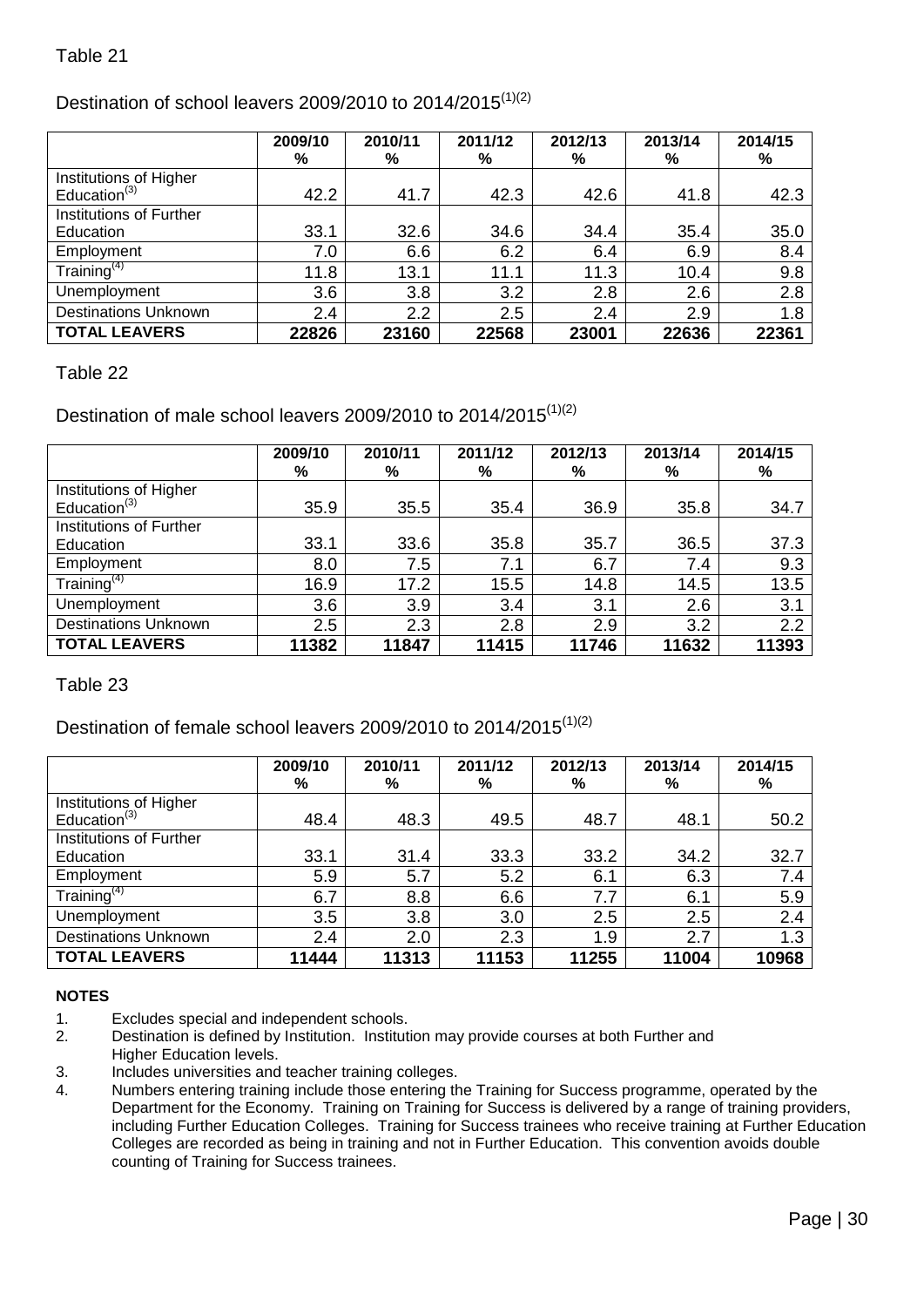# <span id="page-29-0"></span>Destination of school leavers 2009/2010 to 2014/2015<sup>(1)(2)</sup>

|                                                    | 2009/10<br>% | 2010/11<br>% | 2011/12<br>% | 2012/13<br>% | 2013/14<br>% | 2014/15<br>% |
|----------------------------------------------------|--------------|--------------|--------------|--------------|--------------|--------------|
| Institutions of Higher<br>Education <sup>(3)</sup> | 42.2         | 41.7         | 42.3         | 42.6         | 41.8         | 42.3         |
| Institutions of Further                            |              |              |              |              |              |              |
| Education                                          | 33.1         | 32.6         | 34.6         | 34.4         | 35.4         | 35.0         |
| Employment                                         | 7.0          | 6.6          | 6.2          | 6.4          | 6.9          | 8.4          |
| Training <sup>(4)</sup>                            | 11.8         | 13.1         | 11.1         | 11.3         | 10.4         | 9.8          |
| Unemployment                                       | 3.6          | 3.8          | 3.2          | 2.8          | 2.6          | 2.8          |
| <b>Destinations Unknown</b>                        | 2.4          | 2.2          | 2.5          | 2.4          | 2.9          | 1.8          |
| <b>TOTAL LEAVERS</b>                               | 22826        | 23160        | 22568        | 23001        | 22636        | 22361        |

# <span id="page-29-1"></span>Table 22

# Destination of male school leavers 2009/2010 to 2014/2015 $(1)(2)$

|                                                    | 2009/10<br>% | 2010/11<br>% | 2011/12<br>% | 2012/13<br>% | 2013/14<br>% | 2014/15<br>% |
|----------------------------------------------------|--------------|--------------|--------------|--------------|--------------|--------------|
| Institutions of Higher<br>Education <sup>(3)</sup> | 35.9         | 35.5         | 35.4         | 36.9         | 35.8         | 34.7         |
| Institutions of Further                            |              |              |              |              |              |              |
| Education                                          | 33.1         | 33.6         | 35.8         | 35.7         | 36.5         | 37.3         |
| Employment                                         | 8.0          | 7.5          | 7.1          | 6.7          | 7.4          | 9.3          |
| Training <sup>(4)</sup>                            | 16.9         | 17.2         | 15.5         | 14.8         | 14.5         | 13.5         |
| Unemployment                                       | 3.6          | 3.9          | 3.4          | 3.1          | 2.6          | 3.1          |
| <b>Destinations Unknown</b>                        | 2.5          | 2.3          | 2.8          | 2.9          | 3.2          | 2.2          |
| <b>TOTAL LEAVERS</b>                               | 11382        | 11847        | 11415        | 11746        | 11632        | 11393        |

<span id="page-29-2"></span>Table 23

# Destination of female school leavers 2009/2010 to 2014/2015 $(1)(2)$

|                             | 2009/10<br>% | 2010/11<br>% | 2011/12<br>% | 2012/13<br>% | 2013/14<br>% | 2014/15<br>% |
|-----------------------------|--------------|--------------|--------------|--------------|--------------|--------------|
| Institutions of Higher      |              |              |              |              |              |              |
| Education $(3)$             | 48.4         | 48.3         | 49.5         | 48.7         | 48.1         | 50.2         |
| Institutions of Further     |              |              |              |              |              |              |
| Education                   | 33.1         | 31.4         | 33.3         | 33.2         | 34.2         | 32.7         |
| Employment                  | 5.9          | 5.7          | 5.2          | 6.1          | 6.3          | 7.4          |
| Training <sup>(4)</sup>     | 6.7          | 8.8          | 6.6          | 7.7          | 6.1          | 5.9          |
| Unemployment                | 3.5          | 3.8          | 3.0          | 2.5          | 2.5          | 2.4          |
| <b>Destinations Unknown</b> | 2.4          | 2.0          | 2.3          | 1.9          | 2.7          | 1.3          |
| <b>TOTAL LEAVERS</b>        | 11444        | 11313        | 11153        | 11255        | 11004        | 10968        |

- 1. Excludes special and independent schools.
- 2. Destination is defined by Institution. Institution may provide courses at both Further and Higher Education levels.
- 3. Includes universities and teacher training colleges.
- 4. Numbers entering training include those entering the Training for Success programme, operated by the Department for the Economy. Training on Training for Success is delivered by a range of training providers, including Further Education Colleges. Training for Success trainees who receive training at Further Education Colleges are recorded as being in training and not in Further Education. This convention avoids double counting of Training for Success trainees.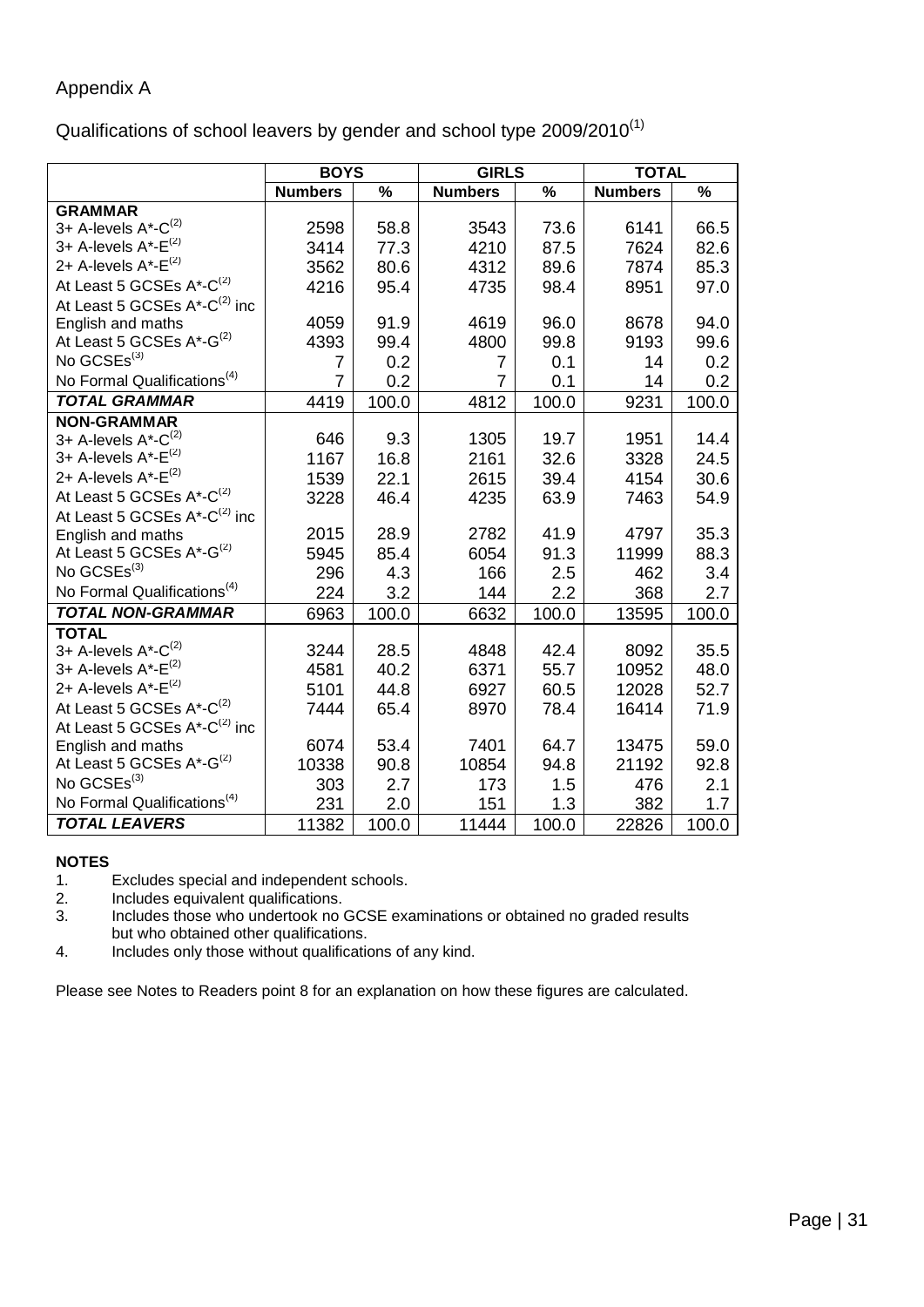# <span id="page-30-0"></span>Appendix A

Qualifications of school leavers by gender and school type 2009/2010(1)

|                                              | <b>BOYS</b>    |       | <b>GIRLS</b>   |       | <b>TOTAL</b>   |               |
|----------------------------------------------|----------------|-------|----------------|-------|----------------|---------------|
|                                              | <b>Numbers</b> | $\%$  | <b>Numbers</b> | $\%$  | <b>Numbers</b> | $\frac{9}{6}$ |
| <b>GRAMMAR</b>                               |                |       |                |       |                |               |
| 3+ A-levels $A^*$ - $C^{(2)}$                | 2598           | 58.8  | 3543           | 73.6  | 6141           | 66.5          |
| 3+ A-levels $A^*$ - $E^{(2)}$                | 3414           | 77.3  | 4210           | 87.5  | 7624           | 82.6          |
| 2+ A-levels $A^*$ - $E^{(2)}$                | 3562           | 80.6  | 4312           | 89.6  | 7874           | 85.3          |
| At Least 5 GCSEs A*-C <sup>(2)</sup>         | 4216           | 95.4  | 4735           | 98.4  | 8951           | 97.0          |
| At Least 5 GCSEs $A^*$ -C <sup>(2)</sup> inc |                |       |                |       |                |               |
| English and maths                            | 4059           | 91.9  | 4619           | 96.0  | 8678           | 94.0          |
| At Least 5 GCSEs A*-G <sup>(2)</sup>         | 4393           | 99.4  | 4800           | 99.8  | 9193           | 99.6          |
| No GCSEs <sup>(3)</sup>                      | 7              | 0.2   | 7              | 0.1   | 14             | 0.2           |
| No Formal Qualifications <sup>(4)</sup>      | $\overline{7}$ | 0.2   | $\overline{7}$ | 0.1   | 14             | 0.2           |
| <b>TOTAL GRAMMAR</b>                         | 4419           | 100.0 | 4812           | 100.0 | 9231           | 100.0         |
| <b>NON-GRAMMAR</b>                           |                |       |                |       |                |               |
| 3+ A-levels $A^*$ - $C^{(2)}$                | 646            | 9.3   | 1305           | 19.7  | 1951           | 14.4          |
| 3+ A-levels A*-E <sup>(2)</sup>              | 1167           | 16.8  | 2161           | 32.6  | 3328           | 24.5          |
| 2+ A-levels A*-E <sup>(2)</sup>              | 1539           | 22.1  | 2615           | 39.4  | 4154           | 30.6          |
| At Least 5 GCSEs A*-C <sup>(2)</sup>         | 3228           | 46.4  | 4235           | 63.9  | 7463           | 54.9          |
| At Least 5 GCSEs $A^*$ -C <sup>(2)</sup> inc |                |       |                |       |                |               |
| English and maths                            | 2015           | 28.9  | 2782           | 41.9  | 4797           | 35.3          |
| At Least 5 GCSEs A*-G <sup>(2)</sup>         | 5945           | 85.4  | 6054           | 91.3  | 11999          | 88.3          |
| No GCSEs <sup>(3)</sup>                      | 296            | 4.3   | 166            | 2.5   | 462            | 3.4           |
| No Formal Qualifications <sup>(4)</sup>      | 224            | 3.2   | 144            | 2.2   | 368            | 2.7           |
| <b>TOTAL NON-GRAMMAR</b>                     | 6963           | 100.0 | 6632           | 100.0 | 13595          | 100.0         |
| <b>TOTAL</b>                                 |                |       |                |       |                |               |
| 3+ A-levels A*-C <sup>(2)</sup>              | 3244           | 28.5  | 4848           | 42.4  | 8092           | 35.5          |
| 3+ A-levels A*-E <sup>(2)</sup>              | 4581           | 40.2  | 6371           | 55.7  | 10952          | 48.0          |
| 2+ A-levels $A^*$ -E <sup>(2)</sup>          | 5101           | 44.8  | 6927           | 60.5  | 12028          | 52.7          |
| At Least 5 GCSEs A*-C <sup>(2)</sup>         | 7444           | 65.4  | 8970           | 78.4  | 16414          | 71.9          |
| At Least 5 GCSEs A*-C <sup>(2)</sup> inc     |                |       |                |       |                |               |
| English and maths                            | 6074           | 53.4  | 7401           | 64.7  | 13475          | 59.0          |
| At Least 5 GCSEs A*-G <sup>(2)</sup>         | 10338          | 90.8  | 10854          | 94.8  | 21192          | 92.8          |
| No GCSEs <sup>(3)</sup>                      | 303            | 2.7   | 173            | 1.5   | 476            | 2.1           |
| No Formal Qualifications <sup>(4)</sup>      | 231            | 2.0   | 151            | 1.3   | 382            | 1.7           |
| <b>TOTAL LEAVERS</b>                         | 11382          | 100.0 | 11444          | 100.0 | 22826          | 100.0         |

#### **NOTES**

1. Excludes special and independent schools.<br>2. Includes equivalent qualifications.

2. Includes equivalent qualifications.<br>3. Includes those who undertook no

Includes those who undertook no GCSE examinations or obtained no graded results but who obtained other qualifications.

4. Includes only those without qualifications of any kind.